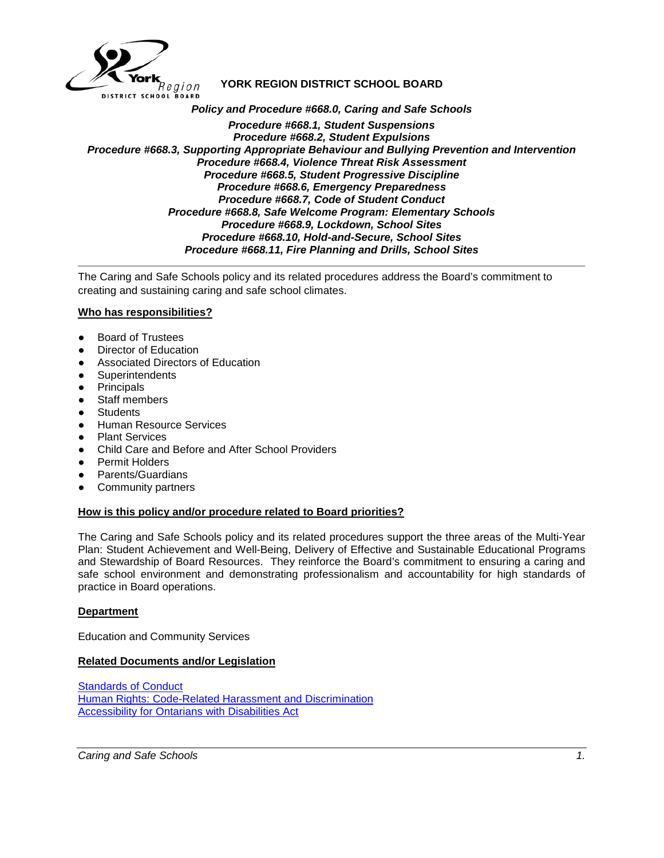

# **YORK REGION DISTRICT SCHOOL BOARD**

*Policy and Procedure #668.0, Caring and Safe Schools Procedure #668.1, Student Suspensions Procedure #668.2, Student Expulsions Procedure #668.3, Supporting Appropriate Behaviour and Bullying Prevention and Intervention Procedure #668.4, Violence Threat Risk Assessment Procedure #668.5, Student Progressive Discipline Procedure #668.6, Emergency Preparedness Procedure #668.7, Code of Student Conduct Procedure #668.8, Safe Welcome Program: Elementary Schools Procedure #668.9, Lockdown, School Sites Procedure #668.10, Hold-and-Secure, School Sites Procedure #668.11, Fire Planning and Drills, School Sites*

The Caring and Safe Schools policy and its related procedures address the Board's commitment to creating and sustaining caring and safe school climates.

## **Who has responsibilities?**

- **Board of Trustees**
- Director of Education
- Associated Directors of Education
- **Superintendents**
- Principals
- Staff members
- **Students**
- Human Resource Services
- Plant Services
- Child Care and Before and After School Providers
- Permit Holders
- **Parents/Guardians**
- Community partners

#### **How is this policy and/or procedure related to Board priorities?**

The Caring and Safe Schools policy and its related procedures support the three areas of the Multi-Year Plan: Student Achievement and Well-Being, Delivery of Effective and Sustainable Educational Programs and Stewardship of Board Resources. They reinforce the Board's commitment to ensuring a caring and safe school environment and demonstrating professionalism and accountability for high standards of practice in Board operations.

#### **Department**

Education and Community Services

#### **Related Documents and/or Legislation**

[Standards of Conduct](file://yrdsb1/directors_division/Shared/1.0-POLICIES%20AND%20PROCEDURES/Policies%20&%20Procedures%20-%20newformat/Policies%20and%20Procedures/2-CCS%20MEETING/2018/March%207,%202018/Superintendent%20of%20Education,%20Well-Being%20and%20Engagement) [Human Rights: Code-Related Harassment and Discrimination](http://www.yrdsb.ca/boarddocs/Documents/PP-humanrights-240.pdf) [Accessibility for Ontarians with Disabilities Act](http://www.e-laws.gov.on.ca/html/source/regs/english/2011/elaws_src_regs_r11191_e.htm)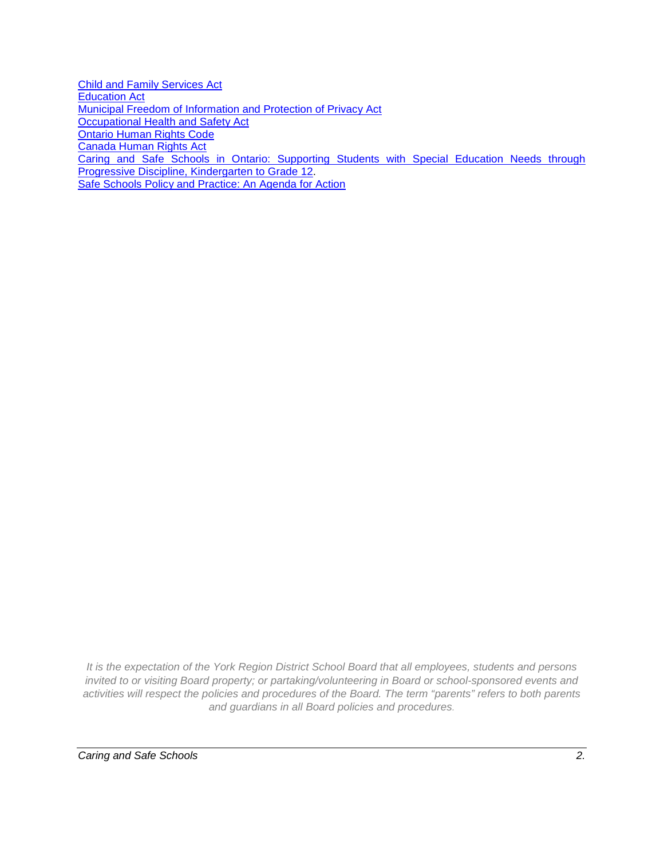[Child and Family Services Act](http://www.e-laws.gov.on.ca/html/statutes/english/elaws_statutes_90c11_e.htm) [Education Act](http://www.e-laws.gov.on.ca/html/statutes/english/elaws_statutes_90e02_e.htm) [Municipal Freedom of Information and Protection of Privacy Act](http://www.e-laws.gov.on.ca/html/statutes/english/elaws_statutes_90m56_e.htm) [Occupational Health and Safety Act](http://www.e-laws.gov.on.ca/html/statutes/english/elaws_statutes_90o01_e.htm) [Ontario Human Rights Code](http://www.e-laws.gov.on.ca/html/statutes/english/elaws_statutes_90h19_e.htm) [Canada Human Rights Act](http://laws-lois.justice.gc.ca/eng/acts/h-6/) [Caring and Safe Schools in Ontario: Supporting Students with Special Education Needs through](http://www.edu.gov.on.ca/eng/general/elemsec/speced/Caring_Safe_School.pdf)  [Progressive Discipline, Kindergarten to Grade 12.](http://www.edu.gov.on.ca/eng/general/elemsec/speced/Caring_Safe_School.pdf) [Safe Schools Policy and Practice: An Agenda for Action](http://www.edu.gov.on.ca/eng/ssareview/report0626.html)

*It is the expectation of the York Region District School Board that all employees, students and persons invited to or visiting Board property; or partaking/volunteering in Board or school-sponsored events and activities will respect the policies and procedures of the Board. The term "parents" refers to both parents and guardians in all Board policies and procedures.*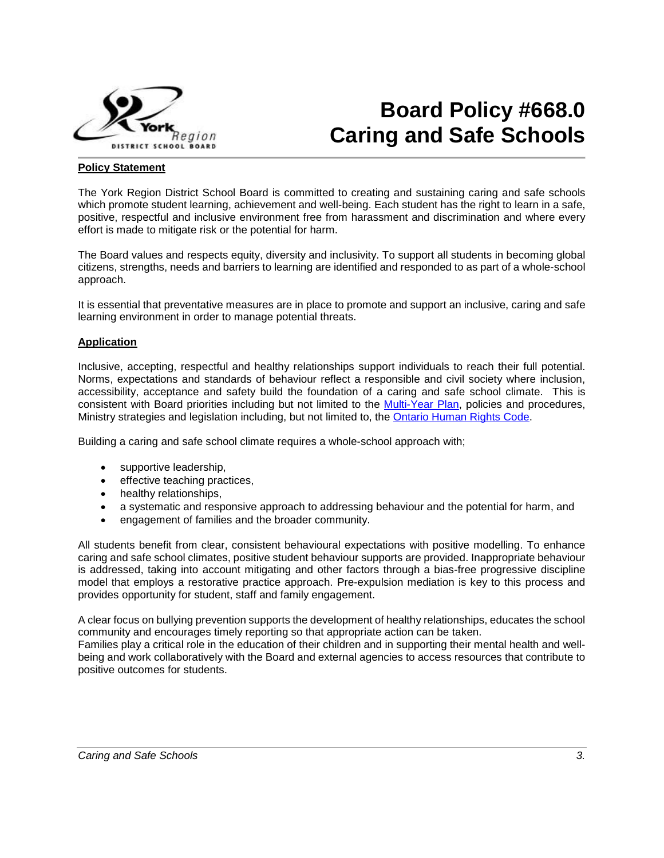

# **Board Policy #668.0 Caring and Safe Schools**

#### **Policy Statement**

The York Region District School Board is committed to creating and sustaining caring and safe schools which promote student learning, achievement and well-being. Each student has the right to learn in a safe, positive, respectful and inclusive environment free from harassment and discrimination and where every effort is made to mitigate risk or the potential for harm.

The Board values and respects equity, diversity and inclusivity. To support all students in becoming global citizens, strengths, needs and barriers to learning are identified and responded to as part of a whole-school approach.

It is essential that preventative measures are in place to promote and support an inclusive, caring and safe learning environment in order to manage potential threats.

#### **Application**

Inclusive, accepting, respectful and healthy relationships support individuals to reach their full potential. Norms, expectations and standards of behaviour reflect a responsible and civil society where inclusion, accessibility, acceptance and safety build the foundation of a caring and safe school climate. This is consistent with Board priorities including but not limited to the [Multi-Year Plan,](http://www.yrdsb.ca/AboutUs/BoardPlans/Pages/default.aspx) policies and procedures, Ministry strategies and legislation including, but not limited to, the [Ontario Human Rights Code.](https://www.ontario.ca/laws/statute/90h19)

Building a caring and safe school climate requires a whole-school approach with;

- supportive leadership,
- effective teaching practices,
- healthy relationships,
- a systematic and responsive approach to addressing behaviour and the potential for harm, and
- engagement of families and the broader community.

All students benefit from clear, consistent behavioural expectations with positive modelling. To enhance caring and safe school climates, positive student behaviour supports are provided. Inappropriate behaviour is addressed, taking into account mitigating and other factors through a bias-free progressive discipline model that employs a restorative practice approach. Pre-expulsion mediation is key to this process and provides opportunity for student, staff and family engagement.

A clear focus on bullying prevention supports the development of healthy relationships, educates the school community and encourages timely reporting so that appropriate action can be taken. Families play a critical role in the education of their children and in supporting their mental health and wellbeing and work collaboratively with the Board and external agencies to access resources that contribute to positive outcomes for students.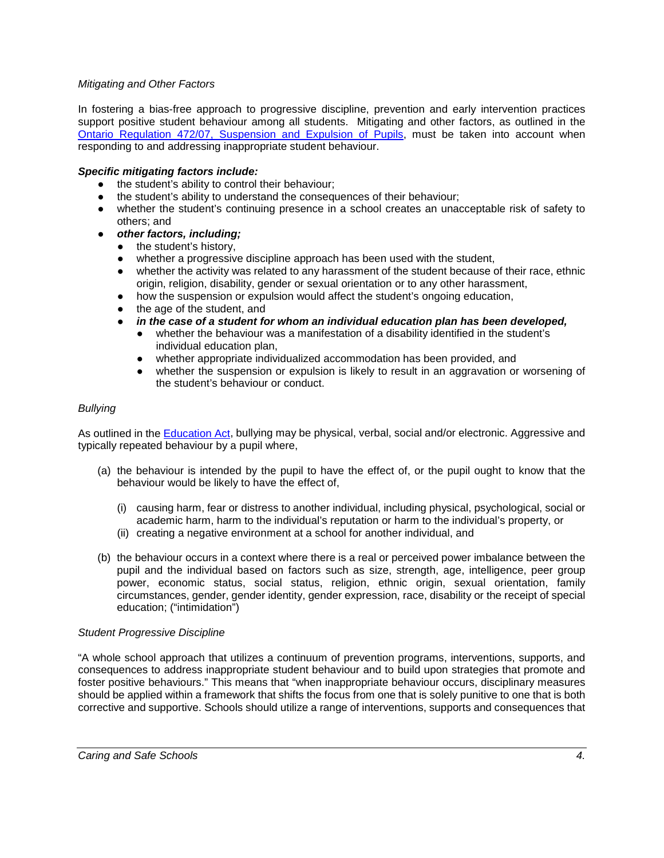# *Mitigating and Other Factors*

In fostering a bias-free approach to progressive discipline, prevention and early intervention practices support positive student behaviour among all students. Mitigating and other factors, as outlined in the [Ontario Regulation 472/07, Suspension and Expulsion of Pupils,](https://www.ontario.ca/laws/regulation/070472) must be taken into account when responding to and addressing inappropriate student behaviour.

## *Specific mitigating factors include:*

- the student's ability to control their behaviour;
- the student's ability to understand the consequences of their behaviour;
- whether the student's continuing presence in a school creates an unacceptable risk of safety to others; and
- *other factors, including;*
	- the student's history,
	- whether a progressive discipline approach has been used with the student,
	- whether the activity was related to any harassment of the student because of their race, ethnic origin, religion, disability, gender or sexual orientation or to any other harassment,
	- how the suspension or expulsion would affect the student's ongoing education,
	- the age of the student, and
	- *in the case of a student for whom an individual education plan has been developed,*
		- whether the behaviour was a manifestation of a disability identified in the student's individual education plan,
			- whether appropriate individualized accommodation has been provided, and
			- whether the suspension or expulsion is likely to result in an aggravation or worsening of the student's behaviour or conduct.

#### *Bullying*

As outlined in the **Education Act**, bullying may be physical, verbal, social and/or electronic. Aggressive and typically repeated behaviour by a pupil where,

- (a) the behaviour is intended by the pupil to have the effect of, or the pupil ought to know that the behaviour would be likely to have the effect of,
	- (i) causing harm, fear or distress to another individual, including physical, psychological, social or academic harm, harm to the individual's reputation or harm to the individual's property, or
	- (ii) creating a negative environment at a school for another individual, and
- (b) the behaviour occurs in a context where there is a real or perceived power imbalance between the pupil and the individual based on factors such as size, strength, age, intelligence, peer group power, economic status, social status, religion, ethnic origin, sexual orientation, family circumstances, gender, gender identity, gender expression, race, disability or the receipt of special education; ("intimidation")

#### *Student Progressive Discipline*

"A whole school approach that utilizes a continuum of prevention programs, interventions, supports, and consequences to address inappropriate student behaviour and to build upon strategies that promote and foster positive behaviours." This means that "when inappropriate behaviour occurs, disciplinary measures should be applied within a framework that shifts the focus from one that is solely punitive to one that is both corrective and supportive. Schools should utilize a range of interventions, supports and consequences that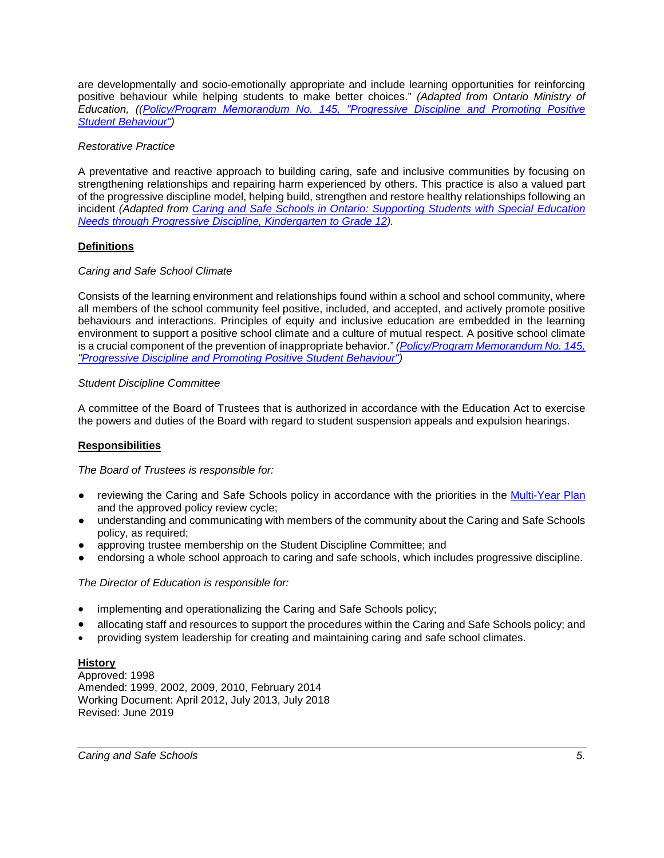are developmentally and socio-emotionally appropriate and include learning opportunities for reinforcing positive behaviour while helping students to make better choices." *(Adapted from Ontario Ministry of Education, ([\(Policy/Program Memorandum No. 145, "Progressive Discipline and Promoting Positive](http://www.edu.gov.on.ca/extra/eng/ppm/145.pdf)  [Student Behaviour"\)](http://www.edu.gov.on.ca/extra/eng/ppm/145.pdf)*

## *Restorative Practice*

A preventative and reactive approach to building caring, safe and inclusive communities by focusing on strengthening relationships and repairing harm experienced by others. This practice is also a valued part of the progressive discipline model, helping build, strengthen and restore healthy relationships following an incident *(Adapted from [Caring and Safe Schools in Ontario: Supporting Students with Special](http://www.edu.gov.on.ca/eng/general/elemsec/speced/Caring_Safe_School.pdf) Education [Needs through Progressive Discipline, Kindergarten to Grade 12\)](http://www.edu.gov.on.ca/eng/general/elemsec/speced/Caring_Safe_School.pdf).*

# **Definitions**

# *Caring and Safe School Climate*

Consists of the learning environment and relationships found within a school and school community, where all members of the school community feel positive, included, and accepted, and actively promote positive behaviours and interactions. Principles of equity and inclusive education are embedded in the learning environment to support a positive school climate and a culture of mutual respect. A positive school climate is a crucial component of the prevention of inappropriate behavior." *[\(Policy/Program Memorandum No. 145,](http://www.edu.gov.on.ca/extra/eng/ppm/145.pdf)  ["Progressive Discipline and Promoting Positive Student Behaviour"\)](http://www.edu.gov.on.ca/extra/eng/ppm/145.pdf)*

## *Student Discipline Committee*

A committee of the Board of Trustees that is authorized in accordance with the Education Act to exercise the powers and duties of the Board with regard to student suspension appeals and expulsion hearings.

## **Responsibilities**

*The Board of Trustees is responsible for:* 

- reviewing the Caring and Safe Schools policy in accordance with the priorities in the [Multi-Year Plan](http://www.yrdsb.edu.on.ca/page.cfm?id=MYP000001) and the approved policy review cycle;
- understanding and communicating with members of the community about the Caring and Safe Schools policy, as required;
- approving trustee membership on the Student Discipline Committee; and
- endorsing a whole school approach to caring and safe schools, which includes progressive discipline.

## *The Director of Education is responsible for:*

- implementing and operationalizing the Caring and Safe Schools policy;
- allocating staff and resources to support the procedures within the Caring and Safe Schools policy; and
- providing system leadership for creating and maintaining caring and safe school climates.

## **History**

Approved: 1998 Amended: 1999, 2002, 2009, 2010, February 2014 Working Document: April 2012, July 2013, July 2018 Revised: June 2019

*Caring and Safe Schools 5.*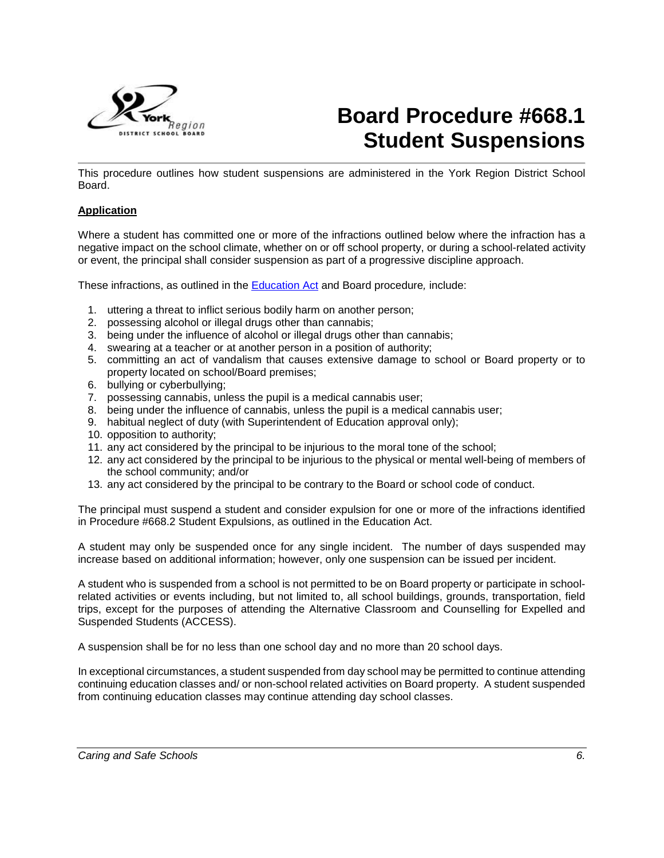

# **Board Procedure #668.1 Student Suspensions**

This procedure outlines how student suspensions are administered in the York Region District School Board.

## **Application**

Where a student has committed one or more of the infractions outlined below where the infraction has a negative impact on the school climate, whether on or off school property, or during a school-related activity or event, the principal shall consider suspension as part of a progressive discipline approach.

These infractions, as outlined in the [Education Act](https://www.ontario.ca/laws/statute/90e02) and Board procedure*,* include:

- 1. uttering a threat to inflict serious bodily harm on another person;
- 2. possessing alcohol or illegal drugs other than cannabis;
- 3. being under the influence of alcohol or illegal drugs other than cannabis;
- 4. swearing at a teacher or at another person in a position of authority;
- 5. committing an act of vandalism that causes extensive damage to school or Board property or to property located on school/Board premises;
- 6. bullying or cyberbullying;
- 7. possessing cannabis, unless the pupil is a medical cannabis user;
- 8. being under the influence of cannabis, unless the pupil is a medical cannabis user;
- 9. habitual neglect of duty (with Superintendent of Education approval only);
- 10. opposition to authority;
- 11. any act considered by the principal to be injurious to the moral tone of the school;
- 12. any act considered by the principal to be injurious to the physical or mental well-being of members of the school community; and/or
- 13. any act considered by the principal to be contrary to the Board or school code of conduct.

The principal must suspend a student and consider expulsion for one or more of the infractions identified in Procedure #668.2 Student Expulsions, as outlined in the Education Act.

A student may only be suspended once for any single incident. The number of days suspended may increase based on additional information; however, only one suspension can be issued per incident.

A student who is suspended from a school is not permitted to be on Board property or participate in schoolrelated activities or events including, but not limited to, all school buildings, grounds, transportation, field trips, except for the purposes of attending the Alternative Classroom and Counselling for Expelled and Suspended Students (ACCESS).

A suspension shall be for no less than one school day and no more than 20 school days.

In exceptional circumstances, a student suspended from day school may be permitted to continue attending continuing education classes and/ or non-school related activities on Board property. A student suspended from continuing education classes may continue attending day school classes.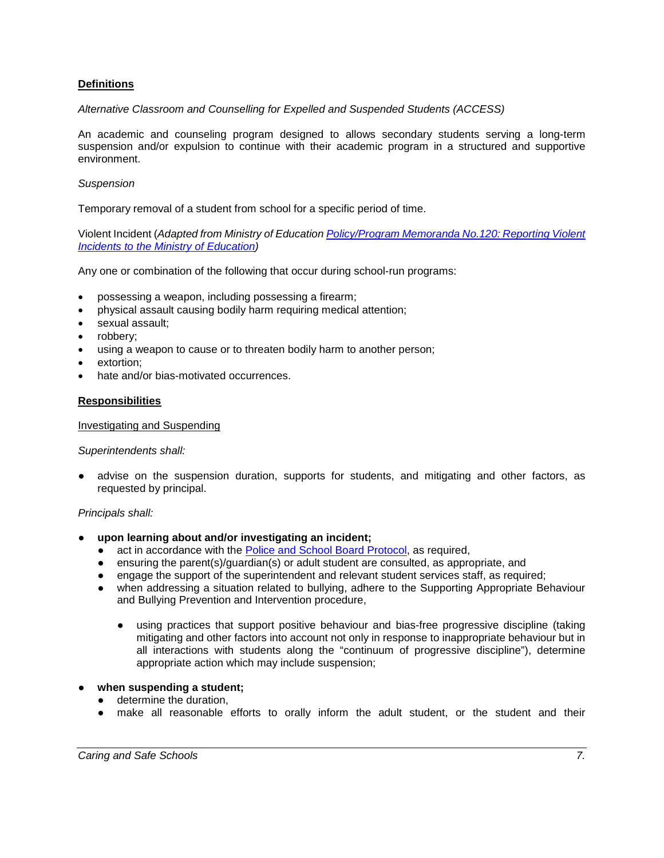## **Definitions**

#### *Alternative Classroom and Counselling for Expelled and Suspended Students (ACCESS)*

An academic and counseling program designed to allows secondary students serving a long-term suspension and/or expulsion to continue with their academic program in a structured and supportive environment.

#### *Suspension*

Temporary removal of a student from school for a specific period of time.

Violent Incident (*Adapted from Ministry of Education [Policy/Program Memoranda No.120: Reporting Violent](http://www.edu.gov.on.ca/extra/eng/ppm/120.html)  Incidents to [the Ministry of Education\)](http://www.edu.gov.on.ca/extra/eng/ppm/120.html)*

Any one or combination of the following that occur during school-run programs:

- possessing a weapon, including possessing a firearm;
- physical assault causing bodily harm requiring medical attention;
- sexual assault;
- robbery;
- using a weapon to cause or to threaten bodily harm to another person;
- extortion:
- hate and/or bias-motivated occurrences.

#### **Responsibilities**

#### Investigating and Suspending

#### *Superintendents shall:*

advise on the suspension duration, supports for students, and mitigating and other factors, as requested by principal.

#### *Principals shall:*

- **upon learning about and/or investigating an incident;**
	- act in accordance with the **Police and School Board Protocol**, as required,
	- ensuring the parent(s)/guardian(s) or adult student are consulted, as appropriate, and
	- engage the support of the superintendent and relevant student services staff, as required;
	- when addressing a situation related to bullying, adhere to the Supporting Appropriate Behaviour and Bullying Prevention and Intervention procedure,
		- using practices that support positive behaviour and bias-free progressive discipline (taking mitigating and other factors into account not only in response to inappropriate behaviour but in all interactions with students along the "continuum of progressive discipline"), determine appropriate action which may include suspension;

## when suspending a student;

- determine the duration,
- make all reasonable efforts to orally inform the adult student, or the student and their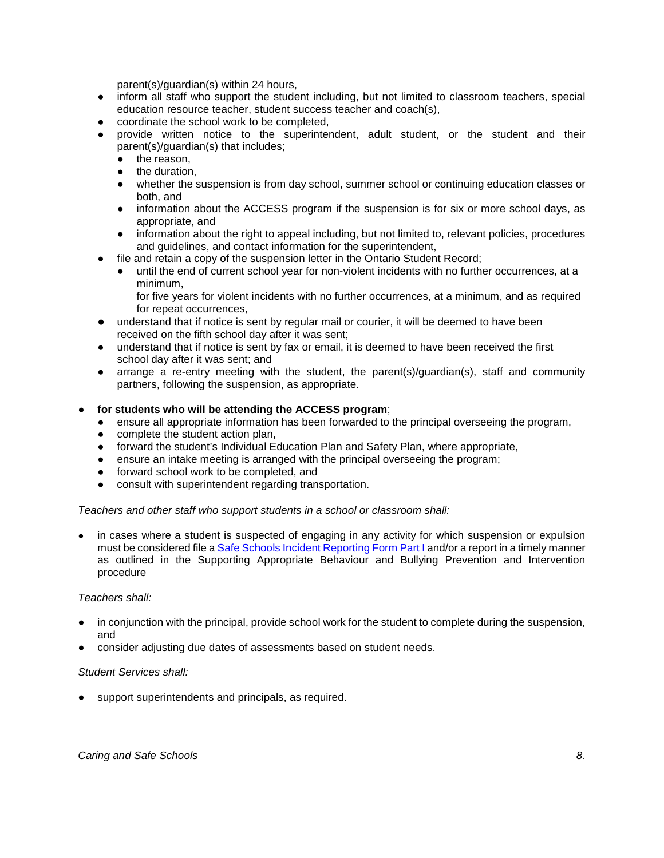parent(s)/guardian(s) within 24 hours,

- inform all staff who support the student including, but not limited to classroom teachers, special education resource teacher, student success teacher and coach(s),
- coordinate the school work to be completed,
- provide written notice to the superintendent, adult student, or the student and their parent(s)/guardian(s) that includes;
	- the reason,
	- the duration,
	- whether the suspension is from day school, summer school or continuing education classes or both, and
	- information about the ACCESS program if the suspension is for six or more school days, as appropriate, and
	- information about the right to appeal including, but not limited to, relevant policies, procedures and guidelines, and contact information for the superintendent,
- file and retain a copy of the suspension letter in the Ontario Student Record;
	- until the end of current school year for non-violent incidents with no further occurrences, at a minimum,

for five years for violent incidents with no further occurrences, at a minimum, and as required for repeat occurrences,

- understand that if notice is sent by regular mail or courier, it will be deemed to have been received on the fifth school day after it was sent;
- understand that if notice is sent by fax or email, it is deemed to have been received the first school day after it was sent; and
- arrange a re-entry meeting with the student, the parent(s)/guardian(s), staff and community partners, following the suspension, as appropriate.

#### for students who will be attending the ACCESS program;

- ensure all appropriate information has been forwarded to the principal overseeing the program,
- complete the student action plan,
- forward the student's Individual Education Plan and Safety Plan, where appropriate,
- ensure an intake meeting is arranged with the principal overseeing the program;
- forward school work to be completed, and
- consult with superintendent regarding transportation.

#### *Teachers and other staff who support students in a school or classroom shall:*

in cases where a student is suspected of engaging in any activity for which suspension or expulsion must be considered file [a Safe Schools Incident Reporting Form Part I](https://webapps.yrdsb.ca/forms/HRS/AccidentIncident/SafeSchoolsReport/Forms/AllItems.aspx) and/or a report in a timely manner as outlined in the Supporting Appropriate Behaviour and Bullying Prevention and Intervention procedure

#### *Teachers shall:*

- in conjunction with the principal, provide school work for the student to complete during the suspension, and
- consider adjusting due dates of assessments based on student needs.

#### *Student Services shall:*

support superintendents and principals, as required.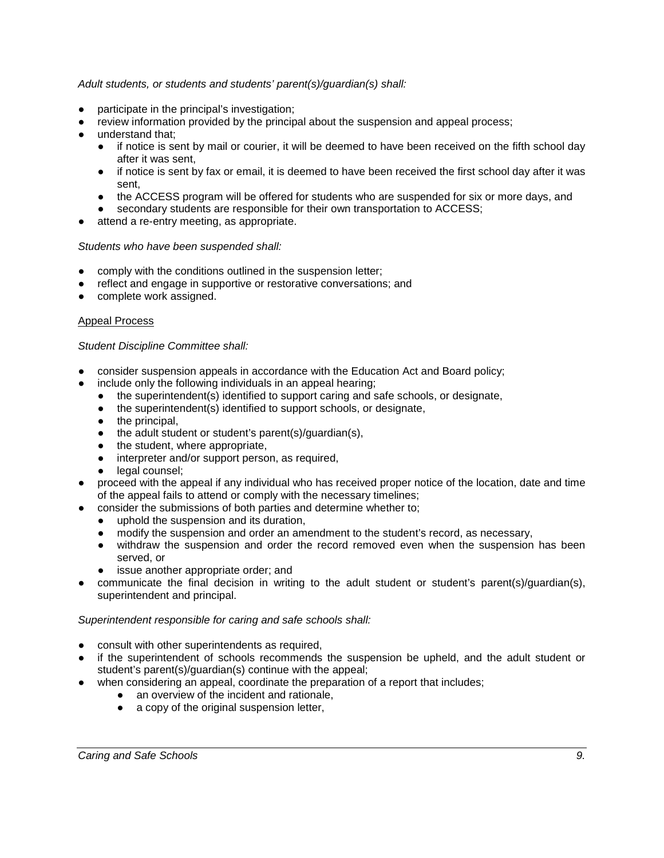## *Adult students, or students and students' parent(s)/guardian(s) shall:*

- participate in the principal's investigation;
- review information provided by the principal about the suspension and appeal process;
- understand that:
	- if notice is sent by mail or courier, it will be deemed to have been received on the fifth school day after it was sent,
	- if notice is sent by fax or email, it is deemed to have been received the first school day after it was sent,
	- the ACCESS program will be offered for students who are suspended for six or more days, and
	- secondary students are responsible for their own transportation to ACCESS;
- attend a re-entry meeting, as appropriate.

#### *Students who have been suspended shall:*

- comply with the conditions outlined in the suspension letter;
- reflect and engage in supportive or restorative conversations; and
- complete work assigned.

#### Appeal Process

#### *Student Discipline Committee shall:*

- consider suspension appeals in accordance with the Education Act and Board policy;
- include only the following individuals in an appeal hearing;
	- the superintendent(s) identified to support caring and safe schools, or designate,
	- the superintendent(s) identified to support schools, or designate,
	- the principal,
	- the adult student or student's parent(s)/guardian(s),
	- the student, where appropriate,
	- interpreter and/or support person, as required,
	- legal counsel;
- proceed with the appeal if any individual who has received proper notice of the location, date and time of the appeal fails to attend or comply with the necessary timelines;
- consider the submissions of both parties and determine whether to:
	- uphold the suspension and its duration.
	- modify the suspension and order an amendment to the student's record, as necessary,
	- withdraw the suspension and order the record removed even when the suspension has been served, or
	- issue another appropriate order; and
- communicate the final decision in writing to the adult student or student's parent(s)/quardian(s), superintendent and principal.

#### *Superintendent responsible for caring and safe schools shall:*

- consult with other superintendents as required,
- if the superintendent of schools recommends the suspension be upheld, and the adult student or student's parent(s)/guardian(s) continue with the appeal;
- when considering an appeal, coordinate the preparation of a report that includes;
	- an overview of the incident and rationale,
	- a copy of the original suspension letter,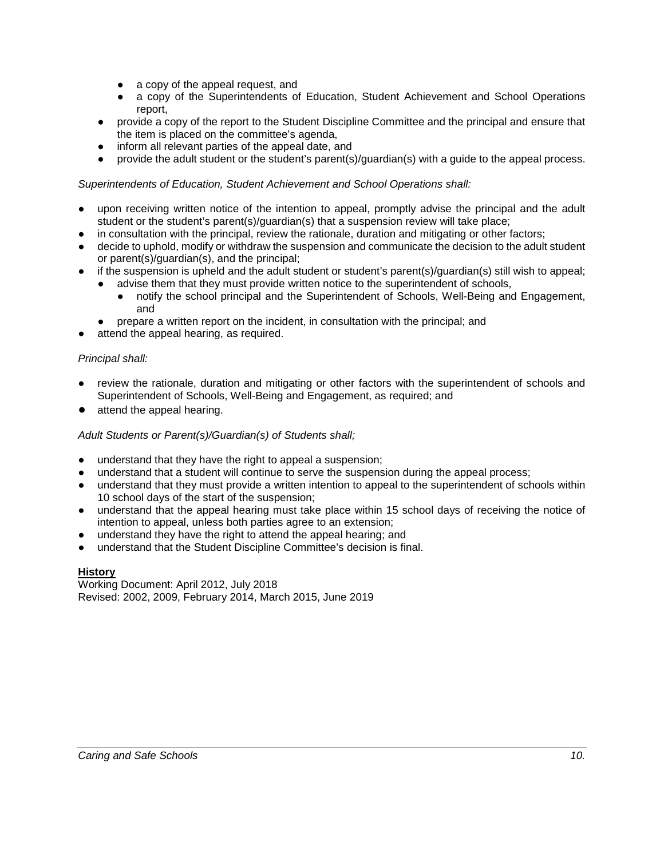- a copy of the appeal request, and
- a copy of the Superintendents of Education, Student Achievement and School Operations report,
- provide a copy of the report to the Student Discipline Committee and the principal and ensure that the item is placed on the committee's agenda,
- inform all relevant parties of the appeal date, and
- provide the adult student or the student's parent(s)/guardian(s) with a guide to the appeal process.

## *Superintendents of Education, Student Achievement and School Operations shall:*

- upon receiving written notice of the intention to appeal, promptly advise the principal and the adult student or the student's parent(s)/guardian(s) that a suspension review will take place;
- in consultation with the principal, review the rationale, duration and mitigating or other factors;
- decide to uphold, modify or withdraw the suspension and communicate the decision to the adult student or parent(s)/guardian(s), and the principal;
- if the suspension is upheld and the adult student or student's parent(s)/quardian(s) still wish to appeal;
	- advise them that they must provide written notice to the superintendent of schools,
	- notify the school principal and the Superintendent of Schools, Well-Being and Engagement, and
	- prepare a written report on the incident, in consultation with the principal; and
	- attend the appeal hearing, as required.

## *Principal shall:*

- review the rationale, duration and mitigating or other factors with the superintendent of schools and Superintendent of Schools, Well-Being and Engagement, as required; and
- attend the appeal hearing.

## *Adult Students or Parent(s)/Guardian(s) of Students shall;*

- understand that they have the right to appeal a suspension;
- understand that a student will continue to serve the suspension during the appeal process;
- understand that they must provide a written intention to appeal to the superintendent of schools within 10 school days of the start of the suspension;
- understand that the appeal hearing must take place within 15 school days of receiving the notice of intention to appeal, unless both parties agree to an extension;
- understand they have the right to attend the appeal hearing; and
- understand that the Student Discipline Committee's decision is final.

## **History**

Working Document: April 2012, July 2018 Revised: 2002, 2009, February 2014, March 2015, June 2019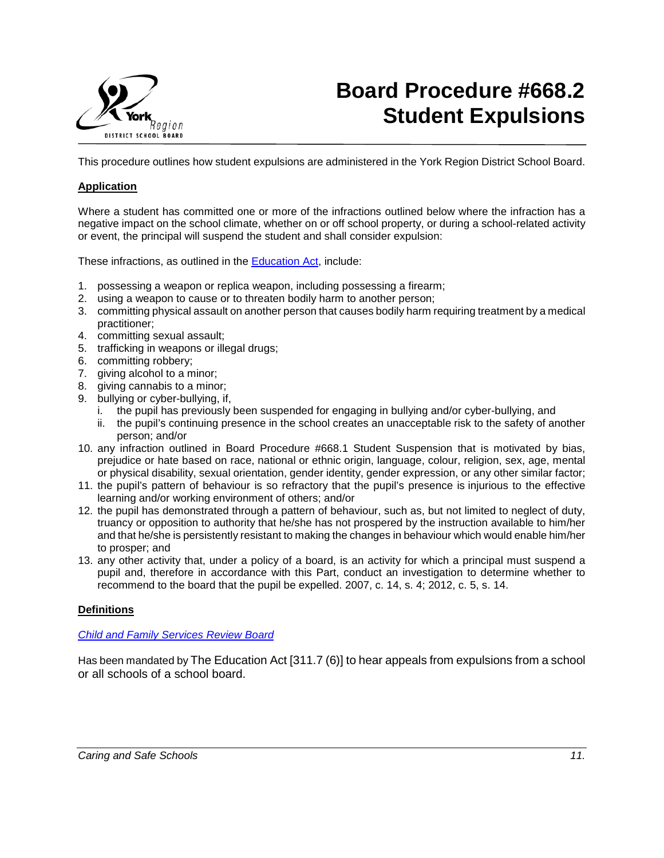

# **Board Procedure #668.2 Student Expulsions**

This procedure outlines how student expulsions are administered in the York Region District School Board.

#### **Application**

Where a student has committed one or more of the infractions outlined below where the infraction has a negative impact on the school climate, whether on or off school property, or during a school-related activity or event, the principal will suspend the student and shall consider expulsion:

These infractions, as outlined in the **Education Act**, include:

- 1. possessing a weapon or replica weapon, including possessing a firearm;
- 2. using a weapon to cause or to threaten bodily harm to another person;
- 3. committing physical assault on another person that causes bodily harm requiring treatment by a medical practitioner;
- 4. committing sexual assault;
- 5. trafficking in weapons or illegal drugs;
- 6. committing robbery;
- 7. giving alcohol to a minor;
- 8. giving cannabis to a minor;
- 9. bullying or cyber-bullying, if,
	- i. the pupil has previously been suspended for engaging in bullying and/or cyber-bullying, and
	- ii. the pupil's continuing presence in the school creates an unacceptable risk to the safety of another person; and/or
- 10. any infraction outlined in Board Procedure #668.1 Student Suspension that is motivated by bias, prejudice or hate based on race, national or ethnic origin, language, colour, religion, sex, age, mental or physical disability, sexual orientation, gender identity, gender expression, or any other similar factor;
- 11. the pupil's pattern of behaviour is so refractory that the pupil's presence is injurious to the effective learning and/or working environment of others; and/or
- 12. the pupil has demonstrated through a pattern of behaviour, such as, but not limited to neglect of duty, truancy or opposition to authority that he/she has not prospered by the instruction available to him/her and that he/she is persistently resistant to making the changes in behaviour which would enable him/her to prosper; and
- 13. any other activity that, under a policy of a board, is an activity for which a principal must suspend a pupil and, therefore in accordance with this Part, conduct an investigation to determine whether to recommend to the board that the pupil be expelled. 2007, c. 14, s. 4; 2012, c. 5, s. 14.

#### **Definitions**

#### *[Child and Family Services Review Board](http://www.sjto.gov.on.ca/cfsrb/appeal-a-school-expulsion/)*

Has been mandated by The Education Act [311.7 (6)] to hear appeals from expulsions from a school or all schools of a school board.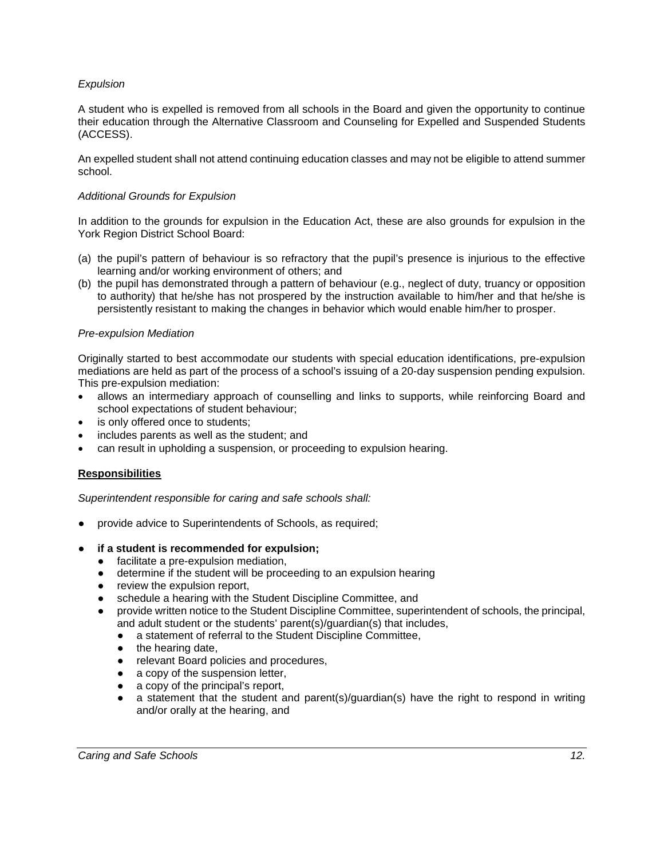## *Expulsion*

A student who is expelled is removed from all schools in the Board and given the opportunity to continue their education through the Alternative Classroom and Counseling for Expelled and Suspended Students (ACCESS).

An expelled student shall not attend continuing education classes and may not be eligible to attend summer school.

#### *Additional Grounds for Expulsion*

In addition to the grounds for expulsion in the Education Act, these are also grounds for expulsion in the York Region District School Board:

- (a) the pupil's pattern of behaviour is so refractory that the pupil's presence is injurious to the effective learning and/or working environment of others; and
- (b) the pupil has demonstrated through a pattern of behaviour (e.g., neglect of duty, truancy or opposition to authority) that he/she has not prospered by the instruction available to him/her and that he/she is persistently resistant to making the changes in behavior which would enable him/her to prosper.

#### *Pre-expulsion Mediation*

Originally started to best accommodate our students with special education identifications, pre-expulsion mediations are held as part of the process of a school's issuing of a 20-day suspension pending expulsion. This pre-expulsion mediation:

- allows an intermediary approach of counselling and links to supports, while reinforcing Board and school expectations of student behaviour;
- is only offered once to students;
- includes parents as well as the student; and
- can result in upholding a suspension, or proceeding to expulsion hearing.

## **Responsibilities**

*Superintendent responsible for caring and safe schools shall:*

- provide advice to Superintendents of Schools, as required;
- **if a student is recommended for expulsion;** 
	- facilitate a pre-expulsion mediation,
	- determine if the student will be proceeding to an expulsion hearing
	- review the expulsion report,
	- schedule a hearing with the Student Discipline Committee, and
	- provide written notice to the Student Discipline Committee, superintendent of schools, the principal, and adult student or the students' parent(s)/guardian(s) that includes,
		- **●** a statement of referral to the Student Discipline Committee,
		- **●** the hearing date,
		- **●** relevant Board policies and procedures,
		- **●** a copy of the suspension letter,
		- **●** a copy of the principal's report,
		- **●** a statement that the student and parent(s)/guardian(s) have the right to respond in writing and/or orally at the hearing, and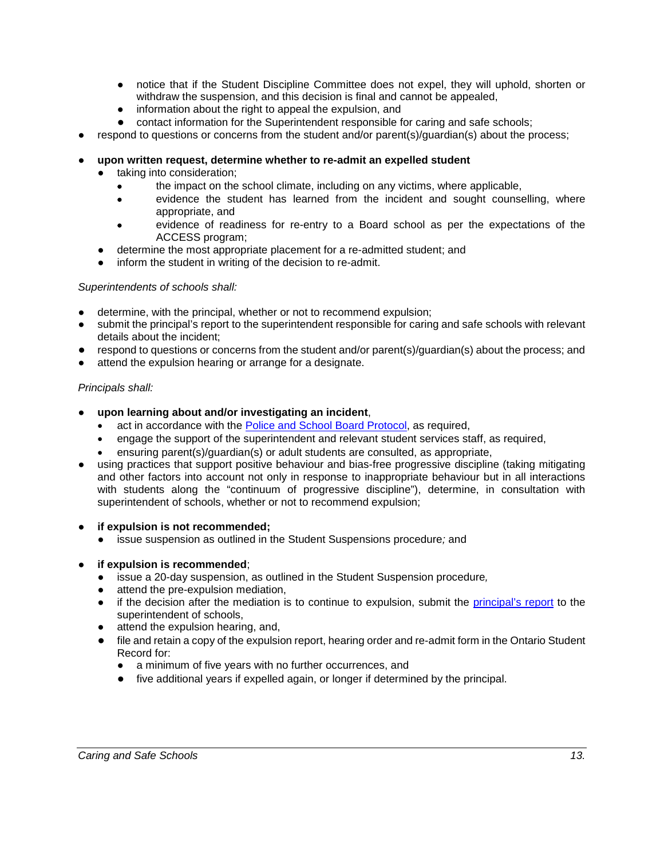- **●** notice that if the Student Discipline Committee does not expel, they will uphold, shorten or withdraw the suspension, and this decision is final and cannot be appealed,
- **●** information about the right to appeal the expulsion, and
- **●** contact information for the Superintendent responsible for caring and safe schools;
- respond to questions or concerns from the student and/or parent(s)/guardian(s) about the process;
- upon written request, determine whether to re-admit an expelled student
	- taking into consideration;
		- the impact on the school climate, including on any victims, where applicable,
		- evidence the student has learned from the incident and sought counselling, where appropriate, and
		- evidence of readiness for re-entry to a Board school as per the expectations of the ACCESS program;
	- determine the most appropriate placement for a re-admitted student; and
	- inform the student in writing of the decision to re-admit.

## *Superintendents of schools shall:*

- determine, with the principal, whether or not to recommend expulsion;
- submit the principal's report to the superintendent responsible for caring and safe schools with relevant details about the incident;
- respond to questions or concerns from the student and/or parent(s)/guardian(s) about the process; and
- attend the expulsion hearing or arrange for a designate.

## *Principals shall:*

- **upon learning about and/or investigating an incident**,
	- act in accordance with the [Police and School Board Protocol,](http://www.yrdsb.ca/Programs/SafeSchools/Pages/Police-and-School-Boards-Protocol.aspx) as required,
	- engage the support of the superintendent and relevant student services staff, as required,
	- ensuring parent(s)/guardian(s) or adult students are consulted, as appropriate,
- using practices that support positive behaviour and bias-free progressive discipline (taking mitigating and other factors into account not only in response to inappropriate behaviour but in all interactions with students along the "continuum of progressive discipline"), determine, in consultation with superintendent of schools, whether or not to recommend expulsion;
- **if expulsion is not recommended;**
	- issue suspension as outlined in the Student Suspensions procedure*;* and
- **if expulsion is recommended;** 
	- issue a 20-day suspension, as outlined in the Student Suspension procedure*,*
	- attend the pre-expulsion mediation,
	- if the decision after the mediation is to continue to expulsion, submit the *principal's report* to the superintendent of schools,
	- attend the expulsion hearing, and,
	- file and retain a copy of the expulsion report, hearing order and re-admit form in the Ontario Student Record for:
		- a minimum of five years with no further occurrences, and
		- five additional years if expelled again, or longer if determined by the principal.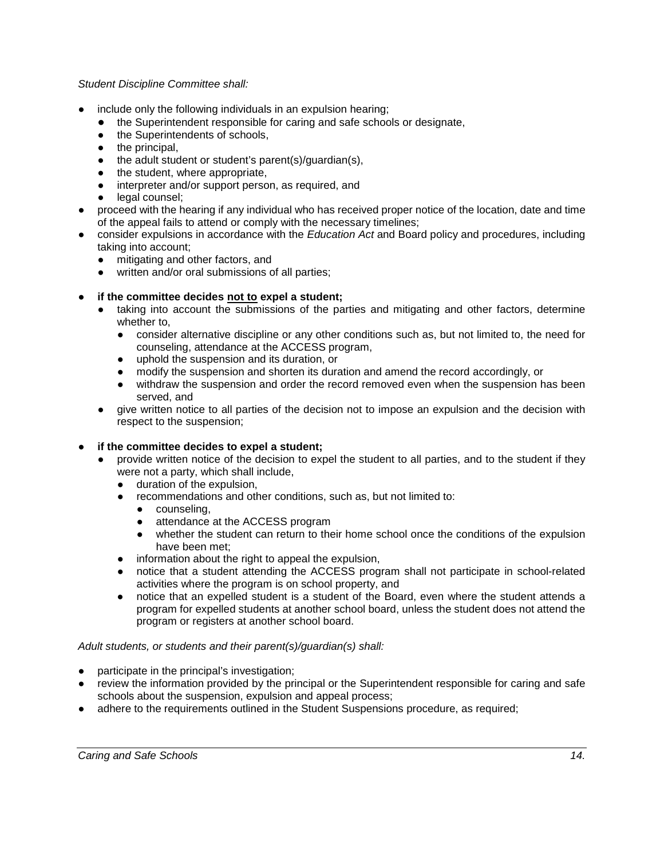## *Student Discipline Committee shall:*

- include only the following individuals in an expulsion hearing;
	- the Superintendent responsible for caring and safe schools or designate,
	- **●** the Superintendents of schools,
	- **●** the principal,
	- **●** the adult student or student's parent(s)/guardian(s),
	- **●** the student, where appropriate,
	- **●** interpreter and/or support person, as required, and
	- **●** legal counsel;
- proceed with the hearing if any individual who has received proper notice of the location, date and time of the appeal fails to attend or comply with the necessary timelines;
- consider expulsions in accordance with the *Education Act* and Board policy and procedures, including taking into account;
	- **●** mitigating and other factors, and
	- **●** written and/or oral submissions of all parties;
- **if the committee decides not to expel a student;**
	- taking into account the submissions of the parties and mitigating and other factors, determine whether to,
		- **●** consider alternative discipline or any other conditions such as, but not limited to, the need for counseling, attendance at the ACCESS program,
		- **●** uphold the suspension and its duration, or
		- **●** modify the suspension and shorten its duration and amend the record accordingly, or
		- **●** withdraw the suspension and order the record removed even when the suspension has been served, and
	- give written notice to all parties of the decision not to impose an expulsion and the decision with respect to the suspension;

## **if the committee decides to expel a student;**

- provide written notice of the decision to expel the student to all parties, and to the student if they were not a party, which shall include,
	- **●** duration of the expulsion,
	- **●** recommendations and other conditions, such as, but not limited to:
		- **●** counseling,
		- **●** attendance at the ACCESS program
		- **●** whether the student can return to their home school once the conditions of the expulsion have been met;
	- **●** information about the right to appeal the expulsion,
	- **●** notice that a student attending the ACCESS program shall not participate in school-related activities where the program is on school property, and
	- **●** notice that an expelled student is a student of the Board, even where the student attends a program for expelled students at another school board, unless the student does not attend the program or registers at another school board.

#### *Adult students, or students and their parent(s)/guardian(s) shall:*

- participate in the principal's investigation;
- review the information provided by the principal or the Superintendent responsible for caring and safe schools about the suspension, expulsion and appeal process;
- adhere to the requirements outlined in the Student Suspensions procedure, as required;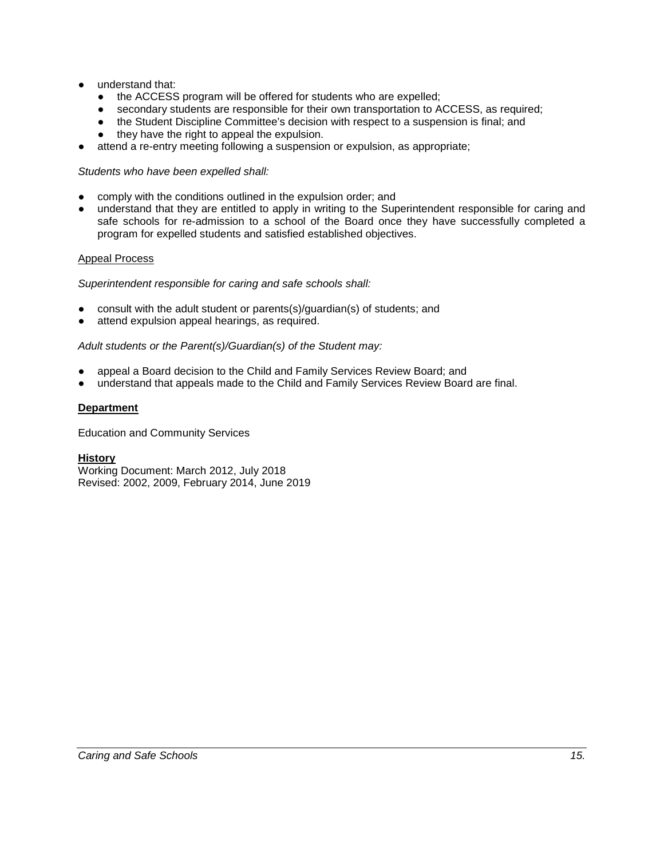- understand that:
	- the ACCESS program will be offered for students who are expelled:
	- secondary students are responsible for their own transportation to ACCESS, as required;
	- the Student Discipline Committee's decision with respect to a suspension is final; and
	- they have the right to appeal the expulsion.
- attend a re-entry meeting following a suspension or expulsion, as appropriate;

# *Students who have been expelled shall:*

- comply with the conditions outlined in the expulsion order; and
- understand that they are entitled to apply in writing to the Superintendent responsible for caring and safe schools for re-admission to a school of the Board once they have successfully completed a program for expelled students and satisfied established objectives.

# Appeal Process

*Superintendent responsible for caring and safe schools shall:*

- consult with the adult student or parents(s)/guardian(s) of students; and
- attend expulsion appeal hearings, as required.

# *Adult students or the Parent(s)/Guardian(s) of the Student may:*

- appeal a Board decision to the Child and Family Services Review Board; and
- understand that appeals made to the Child and Family Services Review Board are final.

# **Department**

Education and Community Services

## **History**

Working Document: March 2012, July 2018 Revised: 2002, 2009, February 2014, June 2019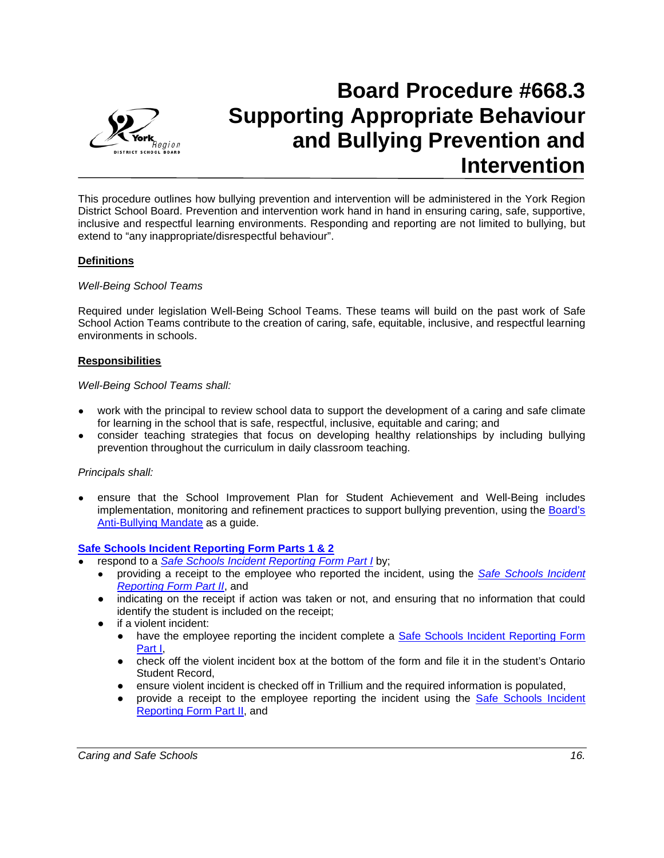

# **Board Procedure #668.3 Supporting Appropriate Behaviour and Bullying Prevention and Intervention**

This procedure outlines how bullying prevention and intervention will be administered in the York Region District School Board. Prevention and intervention work hand in hand in ensuring caring, safe, supportive, inclusive and respectful learning environments. Responding and reporting are not limited to bullying, but extend to "any inappropriate/disrespectful behaviour".

## **Definitions**

## *Well-Being School Teams*

Required under legislation Well-Being School Teams. These teams will build on the past work of Safe School Action Teams contribute to the creation of caring, safe, equitable, inclusive, and respectful learning environments in schools.

## **Responsibilities**

#### *Well-Being School Teams shall:*

- work with the principal to review school data to support the development of a caring and safe climate for learning in the school that is safe, respectful, inclusive, equitable and caring; and
- consider teaching strategies that focus on developing healthy relationships by including bullying prevention throughout the curriculum in daily classroom teaching.

## *Principals shall:*

● ensure that the School Improvement Plan for Student Achievement and Well-Being includes implementation, monitoring and refinement practices to support bullying prevention, using the [Board's](http://www.yrdsb.ca/Programs/SafeSchools/Documents/SD-Anti-BullyingBrochure.pdf)  [Anti-Bullying Mandate](http://www.yrdsb.ca/Programs/SafeSchools/Documents/SD-Anti-BullyingBrochure.pdf) as a guide.

## **[Safe Schools Incident Reporting Form Parts 1 & 2](https://webapps.yrdsb.ca/forms/HRS/AccidentIncident/SafeSchoolsReport/Forms/AllItems.aspx)**

- respond to a *[Safe Schools Incident Reporting Form Part I](https://webapps.yrdsb.ca/forms/HRS/AccidentIncident/SafeSchoolsReport/Forms/AllItems.aspx)* by;
	- providing a receipt to the employee who reported the incident, using the *[Safe Schools Incident](https://webapps.yrdsb.ca/forms/HRS/AccidentIncident/SafeSchoolsReport/Forms/AllItems.aspx)  [Reporting Form Part II](https://webapps.yrdsb.ca/forms/HRS/AccidentIncident/SafeSchoolsReport/Forms/AllItems.aspx)*, and
	- indicating on the receipt if action was taken or not, and ensuring that no information that could identify the student is included on the receipt;
	- if a violent incident:
		- have the employee reporting the incident complete a **Safe Schools Incident Reporting Form** [Part I,](https://webapps.yrdsb.ca/forms/HRS/AccidentIncident/SafeSchoolsReport/Forms/AllItems.aspx)
		- check off the violent incident box at the bottom of the form and file it in the student's Ontario Student Record,
		- ensure violent incident is checked off in Trillium and the required information is populated,
		- provide a receipt to the employee reporting the incident using the Safe Schools Incident [Reporting Form Part II,](https://webapps.yrdsb.ca/forms/HRS/AccidentIncident/SafeSchoolsReport/Forms/AllItems.aspx) and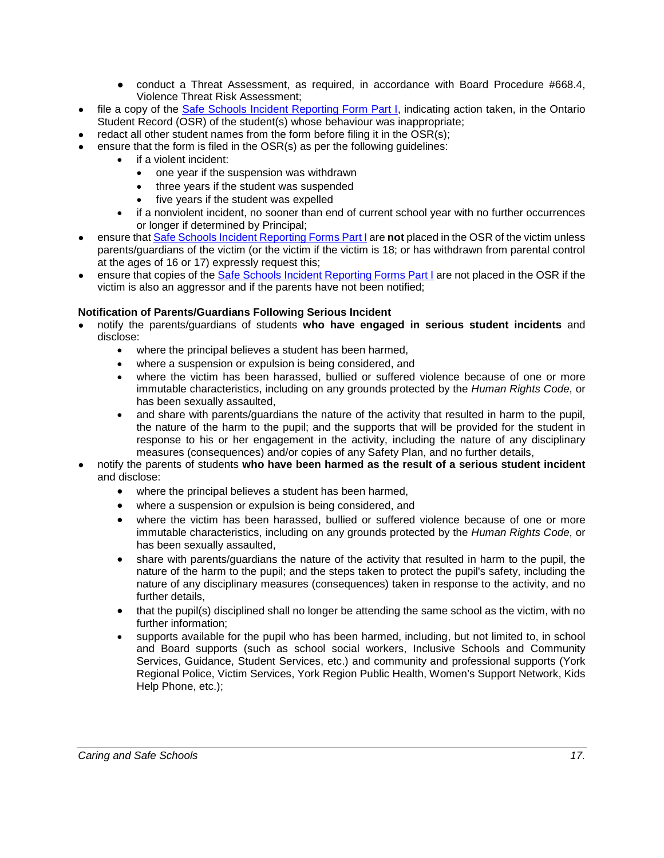- conduct a Threat Assessment, as required, in accordance with Board Procedure #668.4, Violence Threat Risk Assessment;
- file a copy of the [Safe Schools Incident Reporting Form Part I,](https://webapps.yrdsb.ca/forms/HRS/AccidentIncident/SafeSchoolsReport/Forms/AllItems.aspx) indicating action taken, in the Ontario Student Record (OSR) of the student(s) whose behaviour was inappropriate;
- redact all other student names from the form before filing it in the  $OSR(s)$ :
- ensure that the form is filed in the  $OSR(s)$  as per the following guidelines:
	- if a violent incident:
		- one year if the suspension was withdrawn
		- three years if the student was suspended
		- five years if the student was expelled
	- if a nonviolent incident, no sooner than end of current school year with no further occurrences or longer if determined by Principal;
- ensure tha[t Safe Schools Incident Reporting Forms Part I](https://webapps.yrdsb.ca/forms/HRS/AccidentIncident/SafeSchoolsReport/Forms/AllItems.aspx) are **not** placed in the OSR of the victim unless parents/guardians of the victim (or the victim if the victim is 18; or has withdrawn from parental control at the ages of 16 or 17) expressly request this;
- ensure that copies of the [Safe Schools Incident Reporting Forms Part I](https://webapps.yrdsb.ca/forms/HRS/AccidentIncident/SafeSchoolsReport/Forms/AllItems.aspx) are not placed in the OSR if the victim is also an aggressor and if the parents have not been notified;

## **Notification of Parents/Guardians Following Serious Incident**

- notify the parents/guardians of students **who have engaged in serious student incidents** and disclose:
	- where the principal believes a student has been harmed,
	- where a suspension or expulsion is being considered, and
	- where the victim has been harassed, bullied or suffered violence because of one or more immutable characteristics, including on any grounds protected by the *Human Rights Code*, or has been sexually assaulted,
	- and share with parents/guardians the nature of the activity that resulted in harm to the pupil, the nature of the harm to the pupil; and the supports that will be provided for the student in response to his or her engagement in the activity, including the nature of any disciplinary measures (consequences) and/or copies of any Safety Plan, and no further details,
- notify the parents of students who have been harmed as the result of a serious student incident and disclose:
	- where the principal believes a student has been harmed,
	- where a suspension or expulsion is being considered, and
	- where the victim has been harassed, bullied or suffered violence because of one or more immutable characteristics, including on any grounds protected by the *Human Rights Code*, or has been sexually assaulted,
	- share with parents/guardians the nature of the activity that resulted in harm to the pupil, the nature of the harm to the pupil; and the steps taken to protect the pupil's safety, including the nature of any disciplinary measures (consequences) taken in response to the activity, and no further details,
	- that the pupil(s) disciplined shall no longer be attending the same school as the victim, with no further information;
	- supports available for the pupil who has been harmed, including, but not limited to, in school and Board supports (such as school social workers, Inclusive Schools and Community Services, Guidance, Student Services, etc.) and community and professional supports (York Regional Police, Victim Services, York Region Public Health, Women's Support Network, Kids Help Phone, etc.);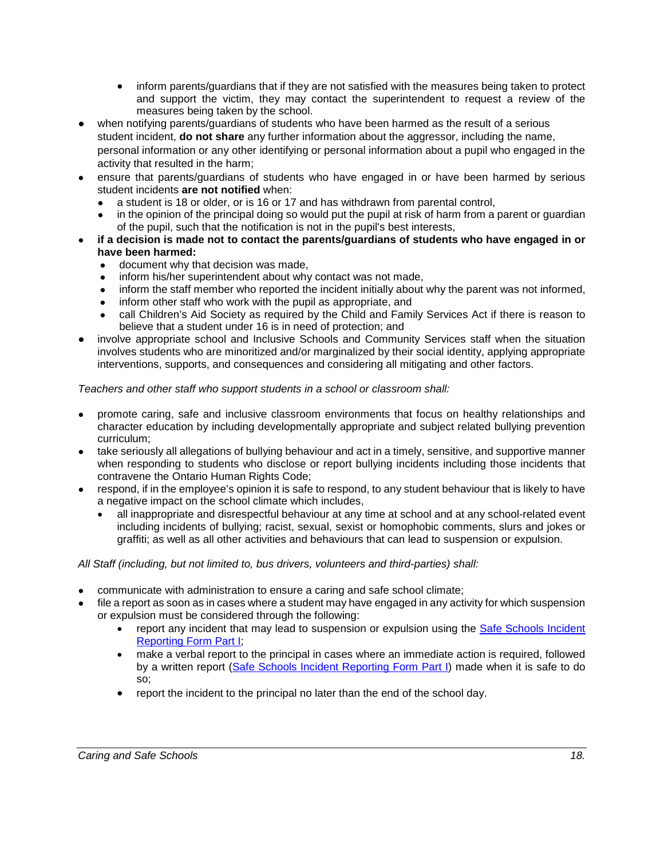- inform parents/guardians that if they are not satisfied with the measures being taken to protect and support the victim, they may contact the superintendent to request a review of the measures being taken by the school.
- when notifying parents/guardians of students who have been harmed as the result of a serious student incident, **do not share** any further information about the aggressor, including the name, personal information or any other identifying or personal information about a pupil who engaged in the activity that resulted in the harm;
- ensure that parents/guardians of students who have engaged in or have been harmed by serious student incidents **are not notified** when:
	- a student is 18 or older, or is 16 or 17 and has withdrawn from parental control,
	- in the opinion of the principal doing so would put the pupil at risk of harm from a parent or guardian of the pupil, such that the notification is not in the pupil's best interests,
- if a decision is made not to contact the parents/guardians of students who have engaged in or **have been harmed:**
	- document why that decision was made,
	- inform his/her superintendent about why contact was not made,
	- inform the staff member who reported the incident initially about why the parent was not informed,
	- inform other staff who work with the pupil as appropriate, and
	- call Children's Aid Society as required by the Child and Family Services Act if there is reason to believe that a student under 16 is in need of protection; and
- involve appropriate school and Inclusive Schools and Community Services staff when the situation involves students who are minoritized and/or marginalized by their social identity, applying appropriate interventions, supports, and consequences and considering all mitigating and other factors.

# *Teachers and other staff who support students in a school or classroom shall:*

- promote caring, safe and inclusive classroom environments that focus on healthy relationships and character education by including developmentally appropriate and subject related bullying prevention curriculum;
- take seriously all allegations of bullying behaviour and act in a timely, sensitive, and supportive manner when responding to students who disclose or report bullying incidents including those incidents that contravene the Ontario Human Rights Code;
- respond, if in the employee's opinion it is safe to respond, to any student behaviour that is likely to have a negative impact on the school climate which includes,
	- all inappropriate and disrespectful behaviour at any time at school and at any school-related event including incidents of bullying; racist, sexual, sexist or homophobic comments, slurs and jokes or graffiti; as well as all other activities and behaviours that can lead to suspension or expulsion.

## *All Staff (including, but not limited to, bus drivers, volunteers and third-parties) shall:*

- communicate with administration to ensure a caring and safe school climate;
- file a report as soon as in cases where a student may have engaged in any activity for which suspension or expulsion must be considered through the following:
	- report any incident that may lead to suspension or expulsion using the [Safe Schools Incident](https://webapps.yrdsb.ca/forms/HRS/AccidentIncident/SafeSchoolsReport/Forms/AllItems.aspx)  [Reporting Form Part I;](https://webapps.yrdsb.ca/forms/HRS/AccidentIncident/SafeSchoolsReport/Forms/AllItems.aspx)
	- make a verbal report to the principal in cases where an immediate action is required, followed by a written report [\(Safe Schools Incident Reporting Form Part I\)](https://webapps.yrdsb.ca/forms/HRS/AccidentIncident/SafeSchoolsReport/Forms/AllItems.aspx) made when it is safe to do so;
	- report the incident to the principal no later than the end of the school day.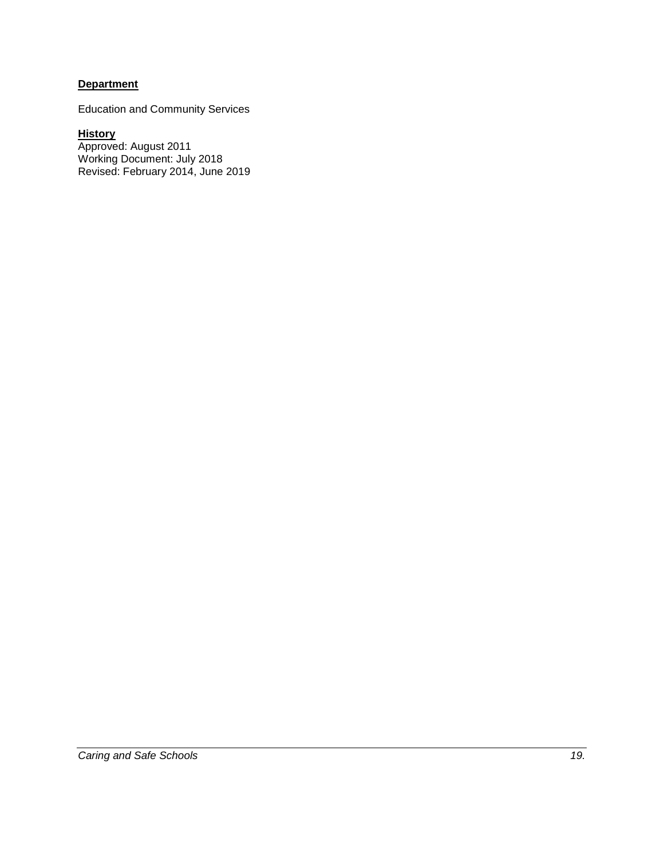# **Department**

Education and Community Services

**History** Approved: August 2011 Working Document: July 2018 Revised: February 2014, June 2019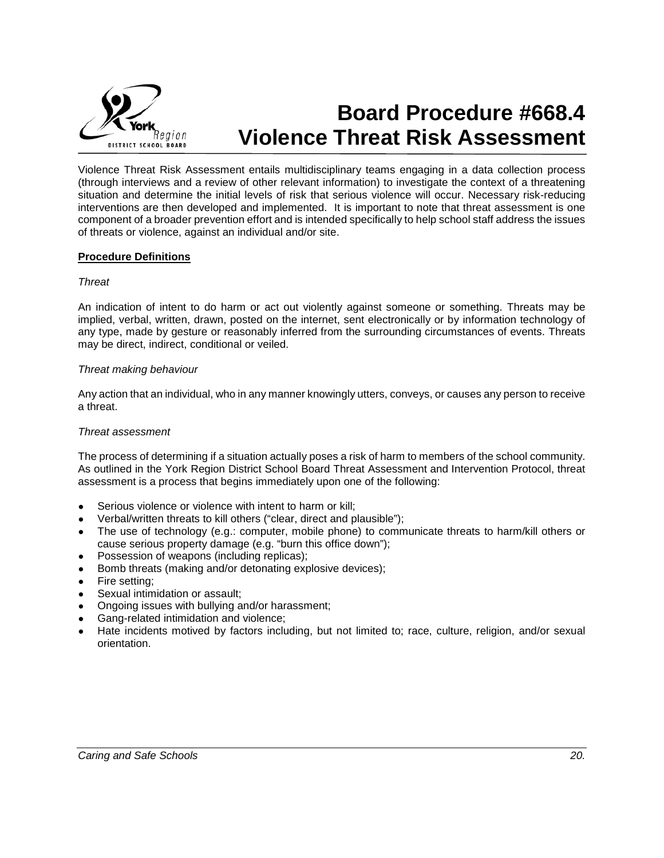

# **Board Procedure #668.4 Violence Threat Risk Assessment**

Violence Threat Risk Assessment entails multidisciplinary teams engaging in a data collection process (through interviews and a review of other relevant information) to investigate the context of a threatening situation and determine the initial levels of risk that serious violence will occur. Necessary risk-reducing interventions are then developed and implemented. It is important to note that threat assessment is one component of a broader prevention effort and is intended specifically to help school staff address the issues of threats or violence, against an individual and/or site.

#### **Procedure Definitions**

#### *Threat*

An indication of intent to do harm or act out violently against someone or something. Threats may be implied, verbal, written, drawn, posted on the internet, sent electronically or by information technology of any type, made by gesture or reasonably inferred from the surrounding circumstances of events. Threats may be direct, indirect, conditional or veiled.

#### *Threat making behaviour*

Any action that an individual, who in any manner knowingly utters, conveys, or causes any person to receive a threat.

#### *Threat assessment*

The process of determining if a situation actually poses a risk of harm to members of the school community. As outlined in the York Region District School Board Threat Assessment and Intervention Protocol, threat assessment is a process that begins immediately upon one of the following:

- Serious violence or violence with intent to harm or kill;
- Verbal/written threats to kill others ("clear, direct and plausible");
- The use of technology (e.g.: computer, mobile phone) to communicate threats to harm/kill others or cause serious property damage (e.g. "burn this office down");
- Possession of weapons (including replicas);
- Bomb threats (making and/or detonating explosive devices);
- Fire setting;
- Sexual intimidation or assault;
- Ongoing issues with bullying and/or harassment;
- Gang-related intimidation and violence;
- Hate incidents motived by factors including, but not limited to; race, culture, religion, and/or sexual orientation.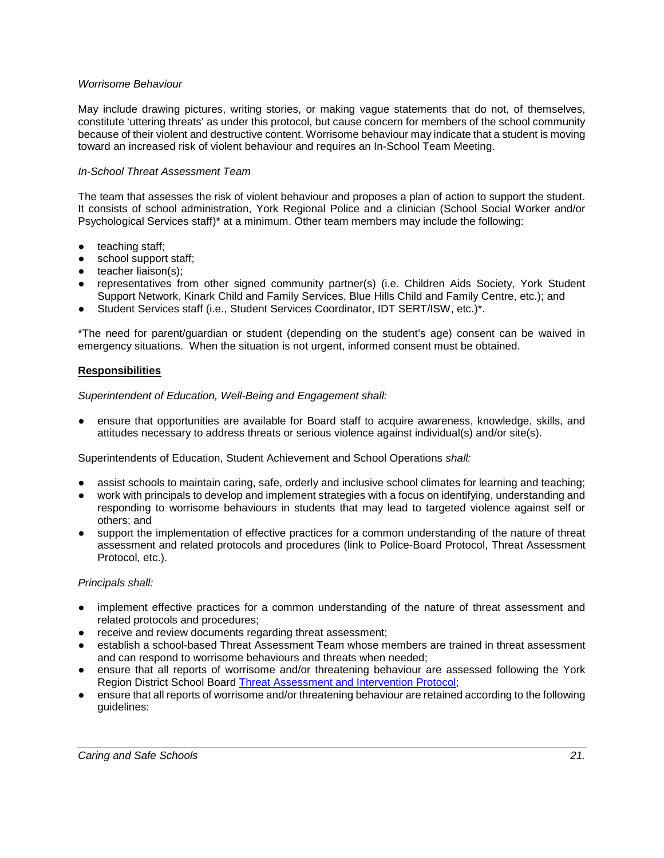## *Worrisome Behaviour*

May include drawing pictures, writing stories, or making vague statements that do not, of themselves, constitute 'uttering threats' as under this protocol, but cause concern for members of the school community because of their violent and destructive content. Worrisome behaviour may indicate that a student is moving toward an increased risk of violent behaviour and requires an In-School Team Meeting.

#### *In-School Threat Assessment Team*

The team that assesses the risk of violent behaviour and proposes a plan of action to support the student. It consists of school administration, York Regional Police and a clinician (School Social Worker and/or Psychological Services staff)\* at a minimum. Other team members may include the following:

- teaching staff:
- school support staff;
- teacher liaison(s);
- representatives from other signed community partner(s) (i.e. Children Aids Society, York Student Support Network, Kinark Child and Family Services, Blue Hills Child and Family Centre, etc.); and
- Student Services staff (i.e., Student Services Coordinator, IDT SERT/ISW, etc.)\*.

\*The need for parent/guardian or student (depending on the student's age) consent can be waived in emergency situations. When the situation is not urgent, informed consent must be obtained.

#### **Responsibilities**

*Superintendent of Education, Well-Being and Engagement shall:*

ensure that opportunities are available for Board staff to acquire awareness, knowledge, skills, and attitudes necessary to address threats or serious violence against individual(s) and/or site(s).

Superintendents of Education, Student Achievement and School Operations *shall:*

- assist schools to maintain caring, safe, orderly and inclusive school climates for learning and teaching;
- work with principals to develop and implement strategies with a focus on identifying, understanding and responding to worrisome behaviours in students that may lead to targeted violence against self or others; and
- support the implementation of effective practices for a common understanding of the nature of threat assessment and related protocols and procedures (link to Police-Board Protocol, Threat Assessment Protocol, etc.).

#### *Principals shall:*

- implement effective practices for a common understanding of the nature of threat assessment and related protocols and procedures;
- receive and review documents regarding threat assessment;
- establish a school-based Threat Assessment Team whose members are trained in threat assessment and can respond to worrisome behaviours and threats when needed;
- ensure that all reports of worrisome and/or threatening behaviour are assessed following the York Region District School Board [Threat Assessment and Intervention Protocol;](https://bww.yrdsb.ca/boarddocs/Documents/PTC-threatassessment.pdf)
- ensure that all reports of worrisome and/or threatening behaviour are retained according to the following guidelines: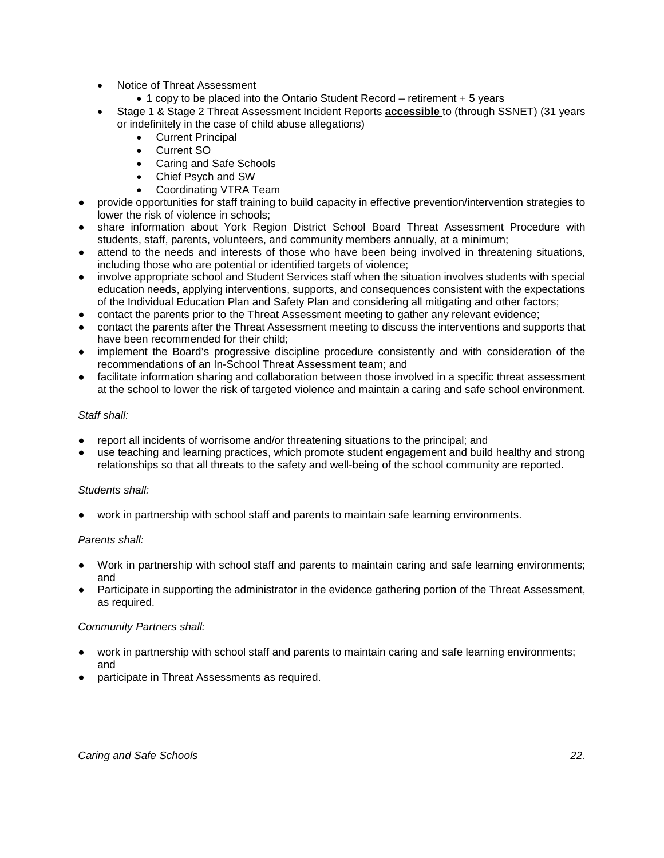- Notice of Threat Assessment
	- 1 copy to be placed into the Ontario Student Record retirement + 5 years
- Stage 1 & Stage 2 Threat Assessment Incident Reports **accessible** to (through SSNET) (31 years or indefinitely in the case of child abuse allegations)
	- Current Principal
	- Current SO
	- Caring and Safe Schools
	- Chief Psych and SW
	- Coordinating VTRA Team
- provide opportunities for staff training to build capacity in effective prevention/intervention strategies to lower the risk of violence in schools;
- share information about York Region District School Board Threat Assessment Procedure with students, staff, parents, volunteers, and community members annually, at a minimum;
- attend to the needs and interests of those who have been being involved in threatening situations, including those who are potential or identified targets of violence;
- involve appropriate school and Student Services staff when the situation involves students with special education needs, applying interventions, supports, and consequences consistent with the expectations of the Individual Education Plan and Safety Plan and considering all mitigating and other factors;
- contact the parents prior to the Threat Assessment meeting to gather any relevant evidence;
- contact the parents after the Threat Assessment meeting to discuss the interventions and supports that have been recommended for their child;
- implement the Board's progressive discipline procedure consistently and with consideration of the recommendations of an In-School Threat Assessment team; and
- facilitate information sharing and collaboration between those involved in a specific threat assessment at the school to lower the risk of targeted violence and maintain a caring and safe school environment.

#### *Staff shall:*

- report all incidents of worrisome and/or threatening situations to the principal; and
- use teaching and learning practices, which promote student engagement and build healthy and strong relationships so that all threats to the safety and well-being of the school community are reported.

#### *Students shall:*

● work in partnership with school staff and parents to maintain safe learning environments.

#### *Parents shall:*

- Work in partnership with school staff and parents to maintain caring and safe learning environments; and
- Participate in supporting the administrator in the evidence gathering portion of the Threat Assessment, as required.

#### *Community Partners shall:*

- work in partnership with school staff and parents to maintain caring and safe learning environments; and
- participate in Threat Assessments as required.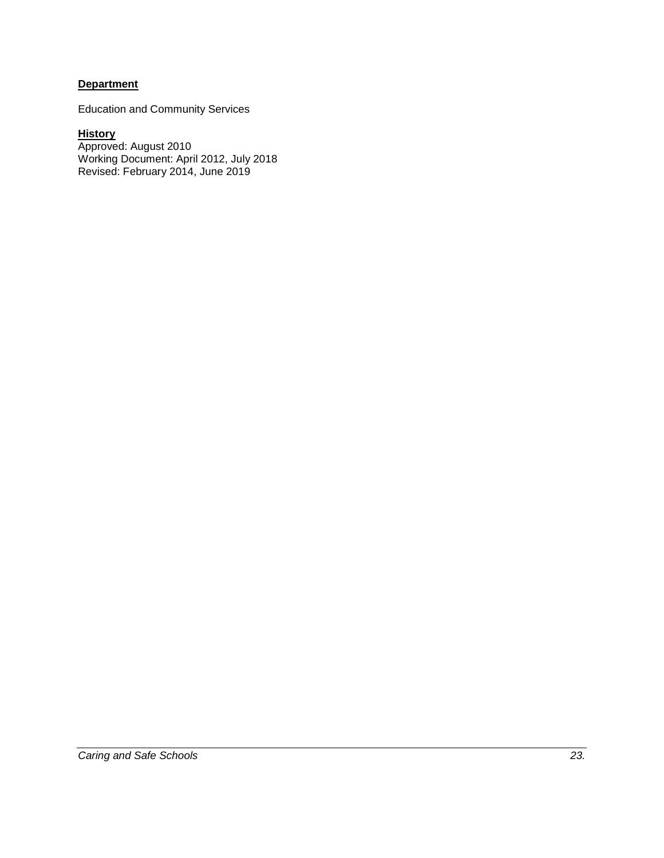# **Department**

Education and Community Services

## **History**

Approved: August 2010 Working Document: April 2012, July 2018 Revised: February 2014, June 2019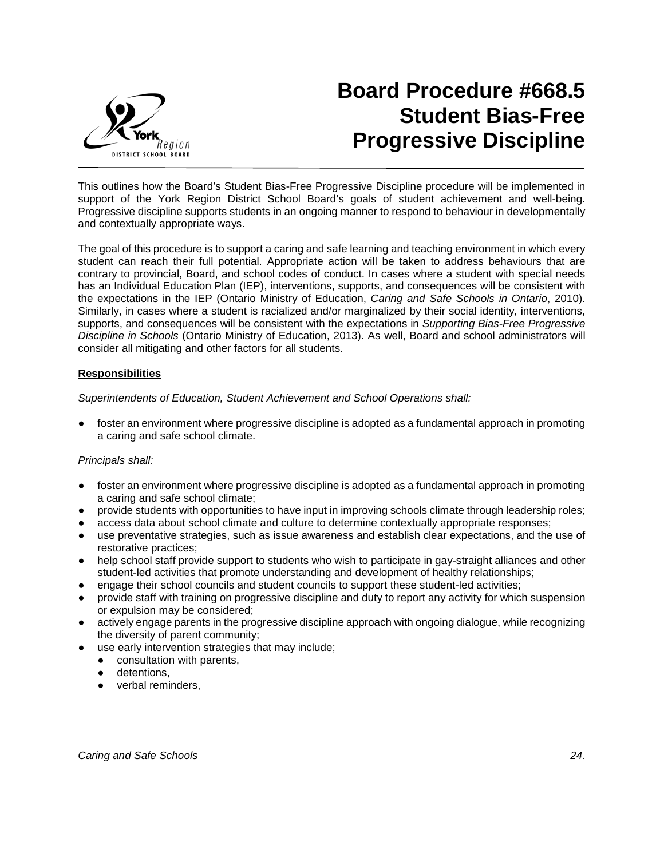

# **Board Procedure #668.5 Student Bias-Free Progressive Discipline**

This outlines how the Board's Student Bias-Free Progressive Discipline procedure will be implemented in support of the York Region District School Board's goals of student achievement and well-being. Progressive discipline supports students in an ongoing manner to respond to behaviour in developmentally and contextually appropriate ways.

The goal of this procedure is to support a caring and safe learning and teaching environment in which every student can reach their full potential. Appropriate action will be taken to address behaviours that are contrary to provincial, Board, and school codes of conduct. In cases where a student with special needs has an Individual Education Plan (IEP), interventions, supports, and consequences will be consistent with the expectations in the IEP (Ontario Ministry of Education, *Caring and Safe Schools in Ontario*, 2010). Similarly, in cases where a student is racialized and/or marginalized by their social identity, interventions, supports, and consequences will be consistent with the expectations in *Supporting Bias-Free Progressive Discipline in Schools* (Ontario Ministry of Education, 2013). As well, Board and school administrators will consider all mitigating and other factors for all students.

## **Responsibilities**

*Superintendents of Education, Student Achievement and School Operations shall:*

foster an environment where progressive discipline is adopted as a fundamental approach in promoting a caring and safe school climate.

## *Principals shall:*

- foster an environment where progressive discipline is adopted as a fundamental approach in promoting a caring and safe school climate;
- provide students with opportunities to have input in improving schools climate through leadership roles;
- access data about school climate and culture to determine contextually appropriate responses;
- use preventative strategies, such as issue awareness and establish clear expectations, and the use of restorative practices;
- help school staff provide support to students who wish to participate in gay-straight alliances and other student-led activities that promote understanding and development of healthy relationships;
- engage their school councils and student councils to support these student-led activities;
- provide staff with training on progressive discipline and duty to report any activity for which suspension or expulsion may be considered;
- actively engage parents in the progressive discipline approach with ongoing dialogue, while recognizing the diversity of parent community;
- use early intervention strategies that may include;
	- consultation with parents,
		- detentions.
		- verbal reminders,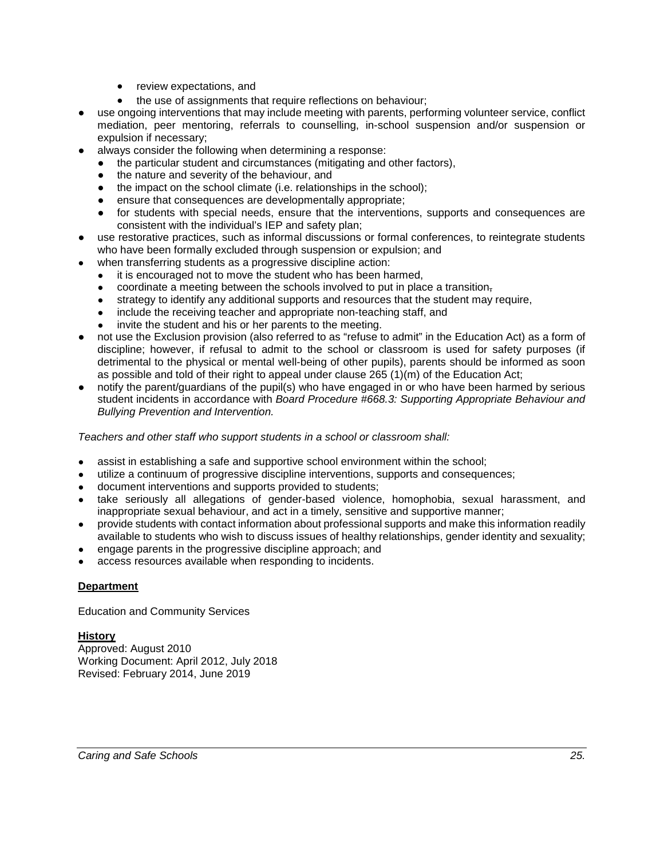- review expectations, and
- the use of assignments that require reflections on behaviour;
- use ongoing interventions that may include meeting with parents, performing volunteer service, conflict mediation, peer mentoring, referrals to counselling, in-school suspension and/or suspension or expulsion if necessary;
- always consider the following when determining a response:
	- the particular student and circumstances (mitigating and other factors),
	- the nature and severity of the behaviour, and
	- the impact on the school climate (i.e. relationships in the school);
	- ensure that consequences are developmentally appropriate;
	- for students with special needs, ensure that the interventions, supports and consequences are consistent with the individual's IEP and safety plan;
- use restorative practices, such as informal discussions or formal conferences, to reintegrate students who have been formally excluded through suspension or expulsion; and
	- when transferring students as a progressive discipline action:
		- it is encouraged not to move the student who has been harmed,
		- coordinate a meeting between the schools involved to put in place a transition,
		- strategy to identify any additional supports and resources that the student may require,
		- include the receiving teacher and appropriate non-teaching staff, and
		- invite the student and his or her parents to the meeting.
- not use the Exclusion provision (also referred to as "refuse to admit" in the Education Act) as a form of discipline; however, if refusal to admit to the school or classroom is used for safety purposes (if detrimental to the physical or mental well-being of other pupils), parents should be informed as soon as possible and told of their right to appeal under clause 265 (1)(m) of the Education Act;
- notify the parent/guardians of the pupil(s) who have engaged in or who have been harmed by serious student incidents in accordance with *Board Procedure #668.3: Supporting Appropriate Behaviour and Bullying Prevention and Intervention.*

*Teachers and other staff who support students in a school or classroom shall:*

- assist in establishing a safe and supportive school environment within the school;
- utilize a continuum of progressive discipline interventions, supports and consequences;
- document interventions and supports provided to students;
- take seriously all allegations of gender-based violence, homophobia, sexual harassment, and inappropriate sexual behaviour, and act in a timely, sensitive and supportive manner;
- provide students with contact information about professional supports and make this information readily available to students who wish to discuss issues of healthy relationships, gender identity and sexuality;
- engage parents in the progressive discipline approach; and
- access resources available when responding to incidents.

# **Department**

Education and Community Services

# **History**

Approved: August 2010 Working Document: April 2012, July 2018 Revised: February 2014, June 2019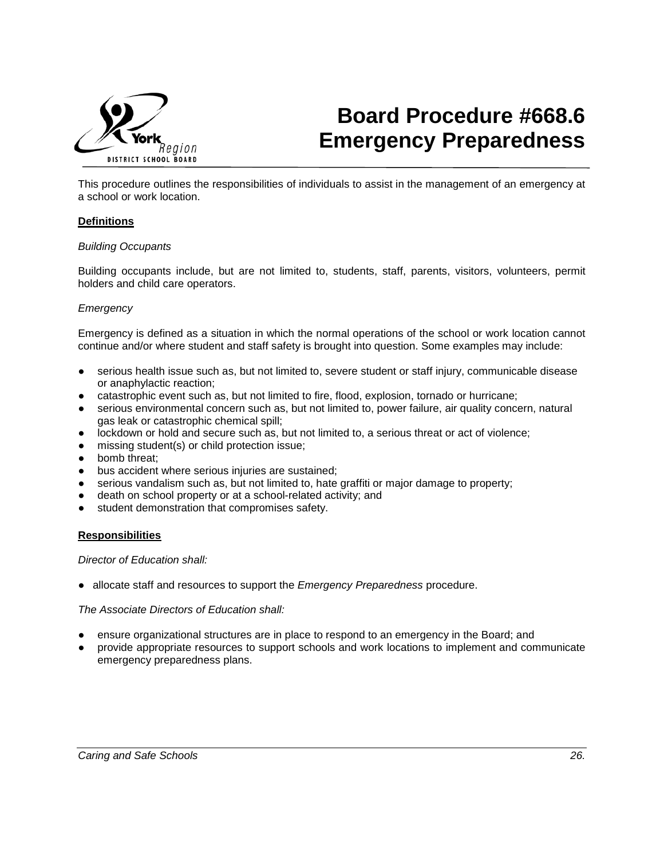

# **Board Procedure #668.6 Emergency Preparedness**

This procedure outlines the responsibilities of individuals to assist in the management of an emergency at a school or work location.

## **Definitions**

#### *Building Occupants*

Building occupants include, but are not limited to, students, staff, parents, visitors, volunteers, permit holders and child care operators.

#### *Emergency*

Emergency is defined as a situation in which the normal operations of the school or work location cannot continue and/or where student and staff safety is brought into question. Some examples may include:

- serious health issue such as, but not limited to, severe student or staff injury, communicable disease or anaphylactic reaction;
- catastrophic event such as, but not limited to fire, flood, explosion, tornado or hurricane;
- serious environmental concern such as, but not limited to, power failure, air quality concern, natural gas leak or catastrophic chemical spill;
- lockdown or hold and secure such as, but not limited to, a serious threat or act of violence;
- missing student(s) or child protection issue;
- bomb threat;
- bus accident where serious injuries are sustained;
- serious vandalism such as, but not limited to, hate graffiti or major damage to property;
- death on school property or at a school-related activity; and
- student demonstration that compromises safety.

#### **Responsibilities**

*Director of Education shall:* 

● allocate staff and resources to support the *Emergency Preparedness* procedure.

#### *The Associate Directors of Education shall:*

- ensure organizational structures are in place to respond to an emergency in the Board; and
- provide appropriate resources to support schools and work locations to implement and communicate emergency preparedness plans.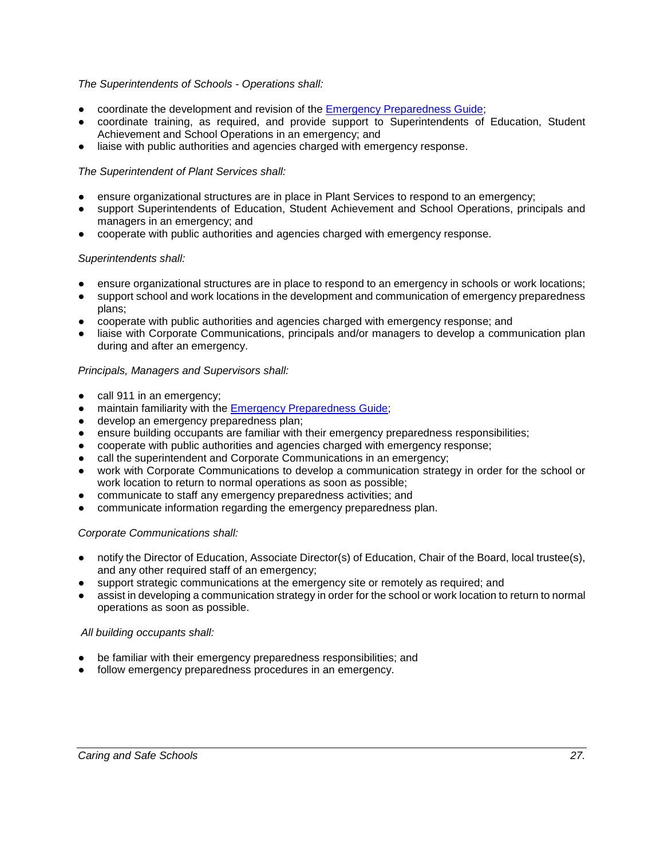## *The Superintendents of Schools - Operations shall:*

- coordinate the development and revision of the [Emergency Preparedness Guide;](https://bww.yrdsb.ca/boarddocs/Pages/CrisisManagement.aspx)
- coordinate training, as required, and provide support to Superintendents of Education, Student Achievement and School Operations in an emergency; and
- liaise with public authorities and agencies charged with emergency response.

# *The Superintendent of Plant Services shall:*

- ensure organizational structures are in place in Plant Services to respond to an emergency;
- support Superintendents of Education, Student Achievement and School Operations, principals and managers in an emergency; and
- cooperate with public authorities and agencies charged with emergency response.

## *Superintendents shall:*

- ensure organizational structures are in place to respond to an emergency in schools or work locations;
- support school and work locations in the development and communication of emergency preparedness plans;
- cooperate with public authorities and agencies charged with emergency response; and
- liaise with Corporate Communications, principals and/or managers to develop a communication plan during and after an emergency.

## *Principals, Managers and Supervisors shall:*

- call 911 in an emergency;
- maintain familiarity with the [Emergency Preparedness Guide;](https://bww.yrdsb.ca/boarddocs/Pages/CrisisManagement.aspx)
- develop an emergency preparedness plan;
- ensure building occupants are familiar with their emergency preparedness responsibilities;
- cooperate with public authorities and agencies charged with emergency response;
- call the superintendent and Corporate Communications in an emergency;
- work with Corporate Communications to develop a communication strategy in order for the school or work location to return to normal operations as soon as possible;
- communicate to staff any emergency preparedness activities; and
- communicate information regarding the emergency preparedness plan.

## *Corporate Communications shall:*

- notify the Director of Education, Associate Director(s) of Education, Chair of the Board, local trustee(s), and any other required staff of an emergency;
- support strategic communications at the emergency site or remotely as required; and
- assist in developing a communication strategy in order for the school or work location to return to normal operations as soon as possible.

## *All building occupants shall:*

- be familiar with their emergency preparedness responsibilities; and
- follow emergency preparedness procedures in an emergency.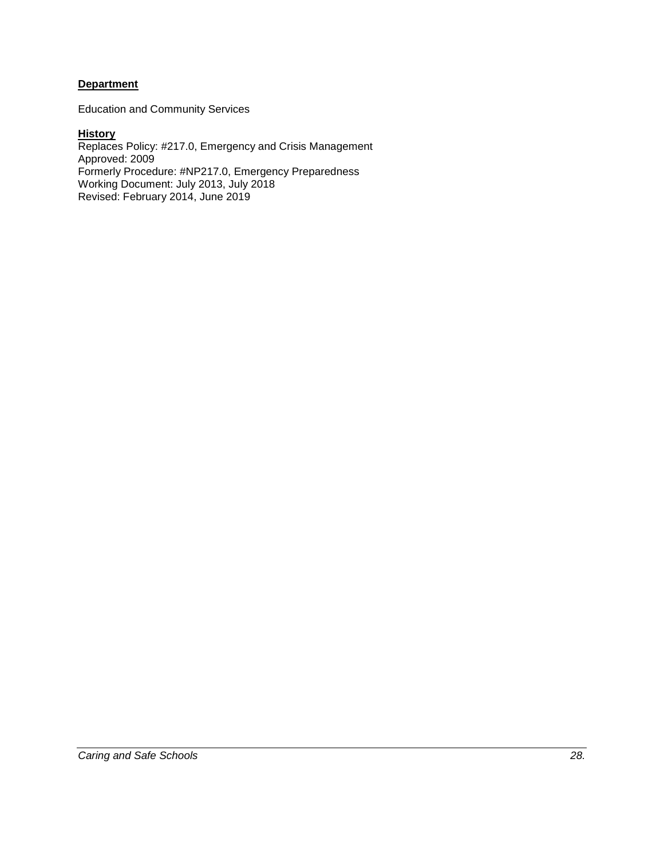## **Department**

Education and Community Services

**History** Replaces Policy: #217.0, Emergency and Crisis Management Approved: 2009 Formerly Procedure: #NP217.0, Emergency Preparedness Working Document: July 2013, July 2018 Revised: February 2014, June 2019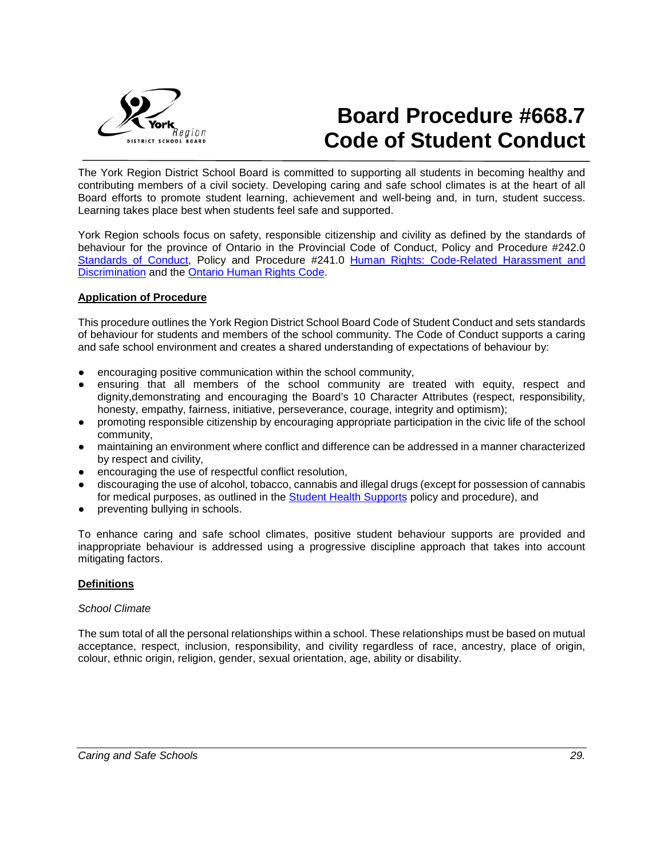

# **Board Procedure #668.7 Code of Student Conduct**

The York Region District School Board is committed to supporting all students in becoming healthy and contributing members of a civil society. Developing caring and safe school climates is at the heart of all Board efforts to promote student learning, achievement and well-being and, in turn, student success. Learning takes place best when students feel safe and supported.

York Region schools focus on safety, responsible citizenship and civility as defined by the standards of behaviour for the province of Ontario in the Provincial Code of Conduct, Policy and Procedure #242.0 [Standards of Conduct,](https://bww.yrdsb.ca/boarddocs/Documents/PP-standardsofconduct-242.pdf#Policy) Policy and Procedure #241.0 [Human Rights: Code-Related Harassment and](https://bww.yrdsb.ca/boarddocs/Documents/PP-humanrights-240.pdf#Policy)  [Discrimination](https://bww.yrdsb.ca/boarddocs/Documents/PP-humanrights-240.pdf#Policy) and the [Ontario Human Rights Code.](https://www.ontario.ca/laws/statute/90h19/v20)

#### **Application of Procedure**

This procedure outlines the York Region District School Board Code of Student Conduct and sets standards of behaviour for students and members of the school community. The Code of Conduct supports a caring and safe school environment and creates a shared understanding of expectations of behaviour by:

- encouraging positive communication within the school community,
- ensuring that all members of the school community are treated with equity, respect and dignity,demonstrating and encouraging the Board's 10 Character Attributes (respect, responsibility, honesty, empathy, fairness, initiative, perseverance, courage, integrity and optimism);
- promoting responsible citizenship by encouraging appropriate participation in the civic life of the school community,
- maintaining an environment where conflict and difference can be addressed in a manner characterized by respect and civility,
- encouraging the use of respectful conflict resolution,
- discouraging the use of alcohol, tobacco, cannabis and illegal drugs (except for possession of cannabis for medical purposes, as outlined in the [Student Health Supports](https://bww.yrdsb.ca/boarddocs/Documents/PP-healthsupport-662.pdf#Policy) policy and procedure), and
- preventing bullying in schools.

To enhance caring and safe school climates, positive student behaviour supports are provided and inappropriate behaviour is addressed using a progressive discipline approach that takes into account mitigating factors.

## **Definitions**

#### *School Climate*

The sum total of all the personal relationships within a school. These relationships must be based on mutual acceptance, respect, inclusion, responsibility, and civility regardless of race, ancestry, place of origin, colour, ethnic origin, religion, gender, sexual orientation, age, ability or disability.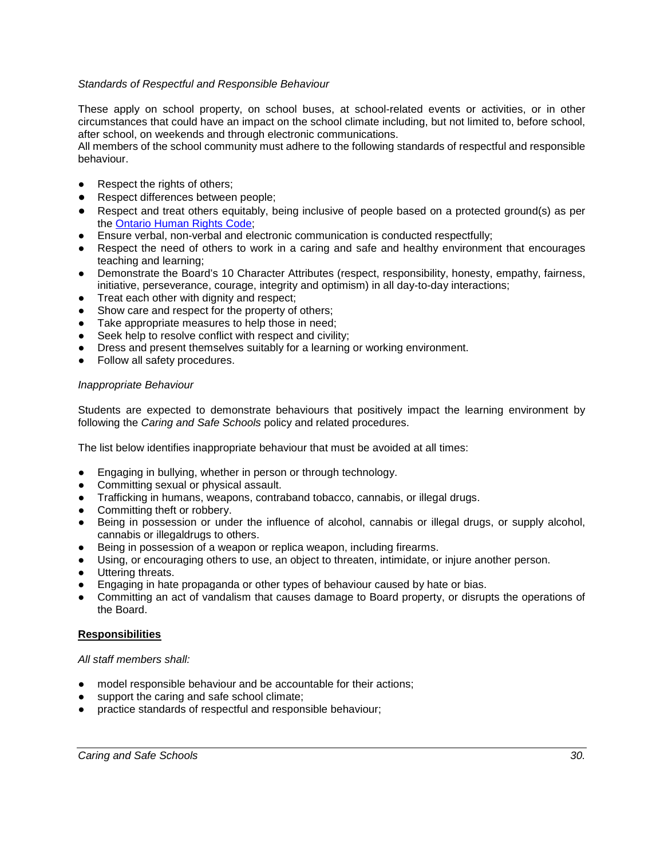## *Standards of Respectful and Responsible Behaviour*

These apply on school property, on school buses, at school-related events or activities, or in other circumstances that could have an impact on the school climate including, but not limited to, before school, after school, on weekends and through electronic communications.

All members of the school community must adhere to the following standards of respectful and responsible behaviour.

- Respect the rights of others;
- Respect differences between people;
- Respect and treat others equitably, being inclusive of people based on a protected ground(s) as per the Ontario Human Rights Code:
- Ensure verbal, non-verbal and electronic communication is conducted respectfully;
- Respect the need of others to work in a caring and safe and healthy environment that encourages teaching and learning;
- Demonstrate the Board's 10 Character Attributes (respect, responsibility, honesty, empathy, fairness, initiative, perseverance, courage, integrity and optimism) in all day-to-day interactions;
- Treat each other with dignity and respect;
- Show care and respect for the property of others;
- Take appropriate measures to help those in need;
- Seek help to resolve conflict with respect and civility;
- Dress and present themselves suitably for a learning or working environment.
- Follow all safety procedures.

#### *Inappropriate Behaviour*

Students are expected to demonstrate behaviours that positively impact the learning environment by following the *Caring and Safe Schools* policy and related procedures.

The list below identifies inappropriate behaviour that must be avoided at all times:

- Engaging in bullying, whether in person or through technology.
- Committing sexual or physical assault.
- Trafficking in humans, weapons, contraband tobacco, cannabis, or illegal drugs.
- Committing theft or robbery.
- Being in possession or under the influence of alcohol, cannabis or illegal drugs, or supply alcohol, cannabis or illegaldrugs to others.
- Being in possession of a weapon or replica weapon, including firearms.
- Using, or encouraging others to use, an object to threaten, intimidate, or injure another person.
- Uttering threats.
- Engaging in hate propaganda or other types of behaviour caused by hate or bias.
- Committing an act of vandalism that causes damage to Board property, or disrupts the operations of the Board.

## **Responsibilities**

#### *All staff members shall:*

- model responsible behaviour and be accountable for their actions;
- support the caring and safe school climate;
- practice standards of respectful and responsible behaviour;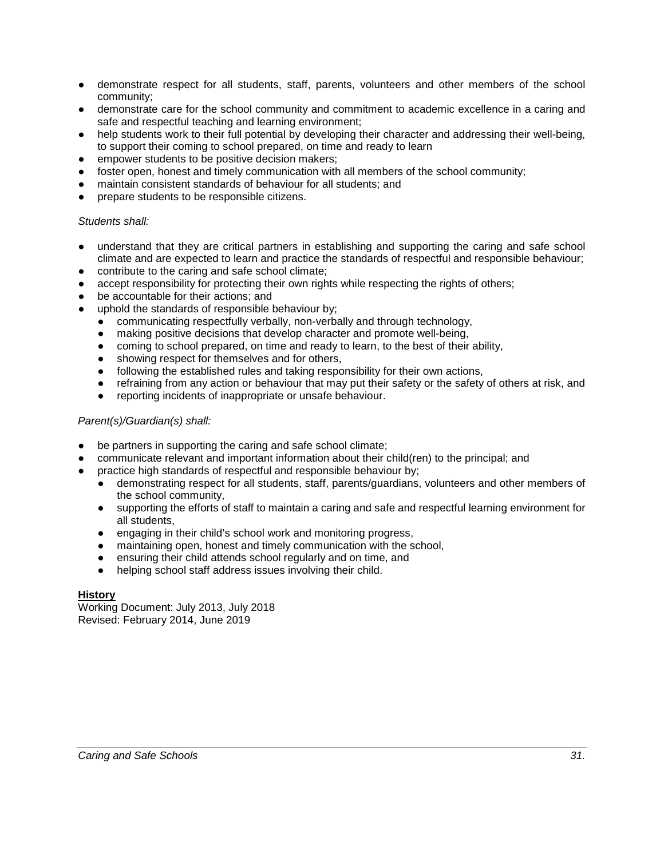- demonstrate respect for all students, staff, parents, volunteers and other members of the school community;
- demonstrate care for the school community and commitment to academic excellence in a caring and safe and respectful teaching and learning environment;
- help students work to their full potential by developing their character and addressing their well-being, to support their coming to school prepared, on time and ready to learn
- empower students to be positive decision makers;
- foster open, honest and timely communication with all members of the school community;
- maintain consistent standards of behaviour for all students; and
- prepare students to be responsible citizens.

#### *Students shall:*

- understand that they are critical partners in establishing and supporting the caring and safe school climate and are expected to learn and practice the standards of respectful and responsible behaviour;
- contribute to the caring and safe school climate;
- accept responsibility for protecting their own rights while respecting the rights of others;
- be accountable for their actions; and
- uphold the standards of responsible behaviour by;
	- communicating respectfully verbally, non-verbally and through technology,
	- making positive decisions that develop character and promote well-being,
	- coming to school prepared, on time and ready to learn, to the best of their ability,
	- showing respect for themselves and for others,
	- following the established rules and taking responsibility for their own actions,
	- refraining from any action or behaviour that may put their safety or the safety of others at risk, and
	- reporting incidents of inappropriate or unsafe behaviour.

#### *Parent(s)/Guardian(s) shall:*

- be partners in supporting the caring and safe school climate;
- communicate relevant and important information about their child(ren) to the principal; and
- practice high standards of respectful and responsible behaviour by;
	- demonstrating respect for all students, staff, parents/guardians, volunteers and other members of the school community,
	- supporting the efforts of staff to maintain a caring and safe and respectful learning environment for all students,
	- engaging in their child's school work and monitoring progress,
	- maintaining open, honest and timely communication with the school,
	- ensuring their child attends school regularly and on time, and
	- helping school staff address issues involving their child.

## **History**

Working Document: July 2013, July 2018 Revised: February 2014, June 2019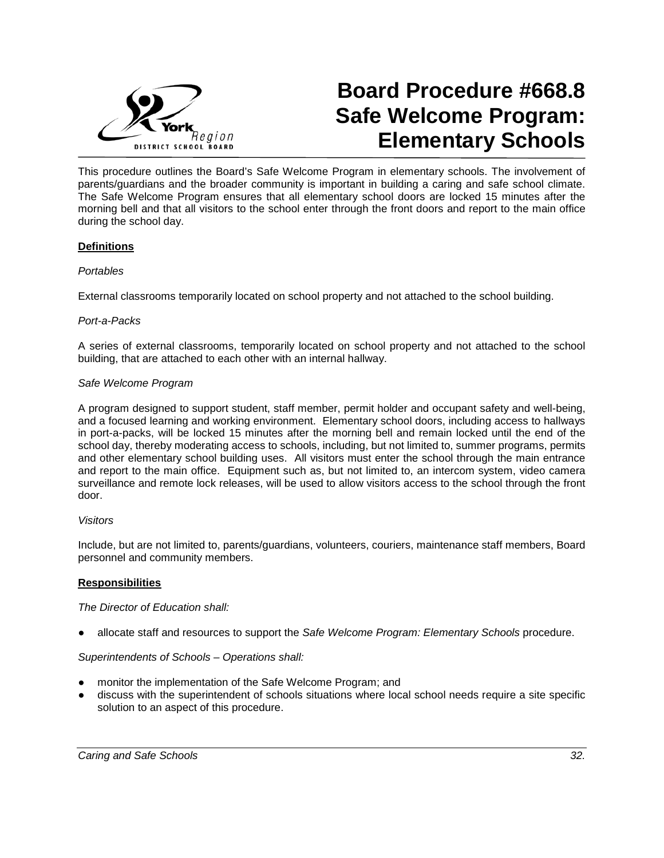

# **Board Procedure #668.8 Safe Welcome Program: Elementary Schools**

This procedure outlines the Board's Safe Welcome Program in elementary schools. The involvement of parents/guardians and the broader community is important in building a caring and safe school climate. The Safe Welcome Program ensures that all elementary school doors are locked 15 minutes after the morning bell and that all visitors to the school enter through the front doors and report to the main office during the school day.

# **Definitions**

## *Portables*

External classrooms temporarily located on school property and not attached to the school building.

#### *Port-a-Packs*

A series of external classrooms, temporarily located on school property and not attached to the school building, that are attached to each other with an internal hallway.

#### *Safe Welcome Program*

A program designed to support student, staff member, permit holder and occupant safety and well-being, and a focused learning and working environment. Elementary school doors, including access to hallways in port-a-packs, will be locked 15 minutes after the morning bell and remain locked until the end of the school day, thereby moderating access to schools, including, but not limited to, summer programs, permits and other elementary school building uses. All visitors must enter the school through the main entrance and report to the main office. Equipment such as, but not limited to, an intercom system, video camera surveillance and remote lock releases, will be used to allow visitors access to the school through the front door.

#### *Visitors*

Include, but are not limited to, parents/guardians, volunteers, couriers, maintenance staff members, Board personnel and community members.

#### **Responsibilities**

#### *The Director of Education shall:*

● allocate staff and resources to support the *Safe Welcome Program: Elementary Schools* procedure.

## *Superintendents of Schools – Operations shall:*

- monitor the implementation of the Safe Welcome Program; and
- discuss with the superintendent of schools situations where local school needs require a site specific solution to an aspect of this procedure.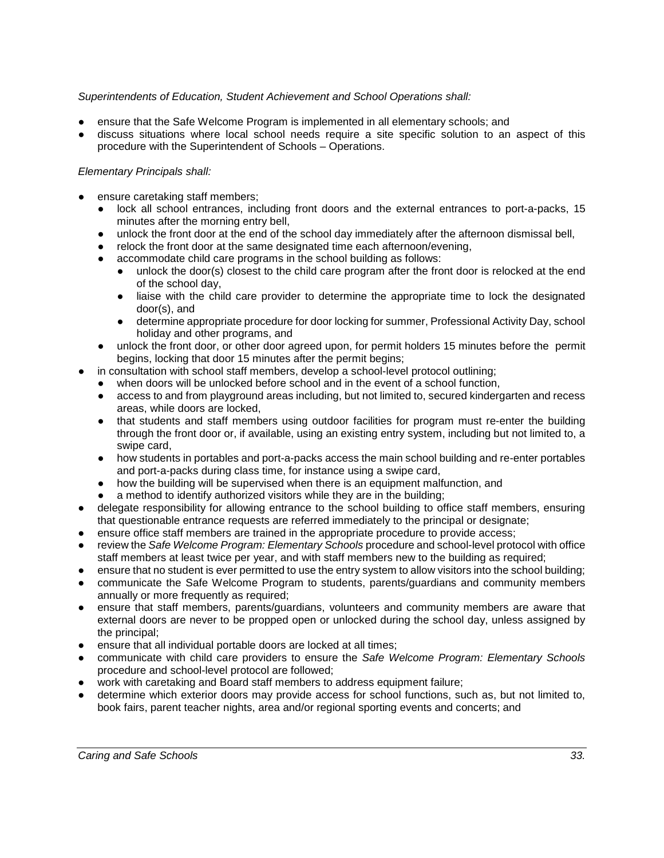# *Superintendents of Education, Student Achievement and School Operations shall:*

- ensure that the Safe Welcome Program is implemented in all elementary schools; and
- discuss situations where local school needs require a site specific solution to an aspect of this procedure with the Superintendent of Schools – Operations.

# *Elementary Principals shall:*

- ensure caretaking staff members;
	- lock all school entrances, including front doors and the external entrances to port-a-packs, 15 minutes after the morning entry bell,
	- unlock the front door at the end of the school day immediately after the afternoon dismissal bell,
	- relock the front door at the same designated time each afternoon/evening.
	- accommodate child care programs in the school building as follows:<br>● unlock the door(s) closest to the child care program after the fro
		- unlock the door(s) closest to the child care program after the front door is relocked at the end of the school day,
		- liaise with the child care provider to determine the appropriate time to lock the designated door(s), and
		- determine appropriate procedure for door locking for summer, Professional Activity Day, school holiday and other programs, and
	- unlock the front door, or other door agreed upon, for permit holders 15 minutes before the permit begins, locking that door 15 minutes after the permit begins;
	- in consultation with school staff members, develop a school-level protocol outlining;
	- when doors will be unlocked before school and in the event of a school function,
		- access to and from playground areas including, but not limited to, secured kindergarten and recess areas, while doors are locked,
		- that students and staff members using outdoor facilities for program must re-enter the building through the front door or, if available, using an existing entry system, including but not limited to, a swipe card,
		- how students in portables and port-a-packs access the main school building and re-enter portables and port-a-packs during class time, for instance using a swipe card,
		- how the building will be supervised when there is an equipment malfunction, and
	- a method to identify authorized visitors while they are in the building;
- delegate responsibility for allowing entrance to the school building to office staff members, ensuring that questionable entrance requests are referred immediately to the principal or designate;
- ensure office staff members are trained in the appropriate procedure to provide access;
- review the *Safe Welcome Program: Elementary Schools* procedure and school-level protocol with office staff members at least twice per year, and with staff members new to the building as required;
- ensure that no student is ever permitted to use the entry system to allow visitors into the school building;
- communicate the Safe Welcome Program to students, parents/guardians and community members annually or more frequently as required;
- ensure that staff members, parents/guardians, volunteers and community members are aware that external doors are never to be propped open or unlocked during the school day, unless assigned by the principal;
- ensure that all individual portable doors are locked at all times;
- communicate with child care providers to ensure the *Safe Welcome Program: Elementary Schools*  procedure and school-level protocol are followed;
- work with caretaking and Board staff members to address equipment failure;
- determine which exterior doors may provide access for school functions, such as, but not limited to, book fairs, parent teacher nights, area and/or regional sporting events and concerts; and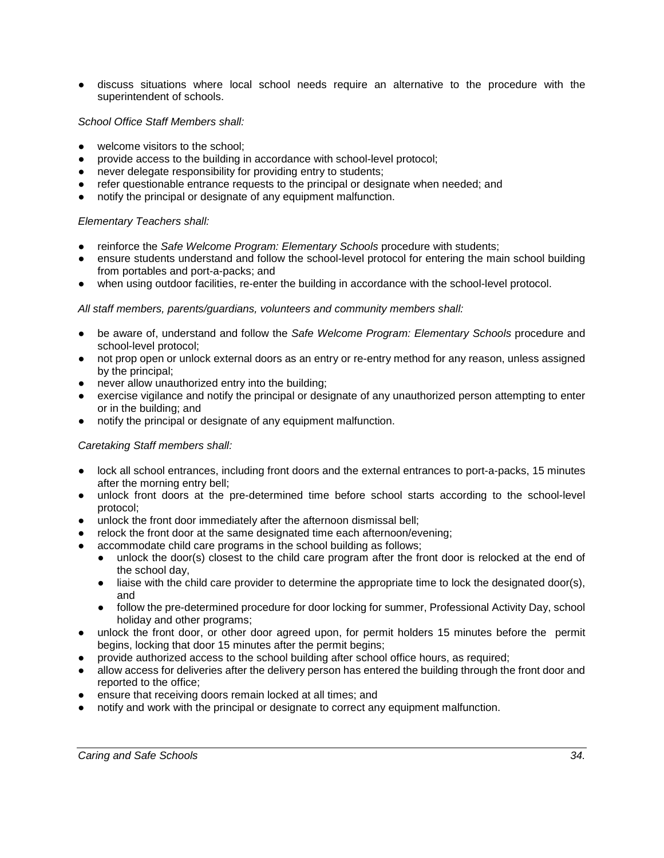discuss situations where local school needs require an alternative to the procedure with the superintendent of schools.

## *School Office Staff Members shall:*

- welcome visitors to the school:
- provide access to the building in accordance with school-level protocol;
- never delegate responsibility for providing entry to students;
- refer questionable entrance requests to the principal or designate when needed; and
- notify the principal or designate of any equipment malfunction.

# *Elementary Teachers shall:*

- reinforce the *Safe Welcome Program: Elementary Schools* procedure with students;
- ensure students understand and follow the school-level protocol for entering the main school building from portables and port-a-packs; and
- when using outdoor facilities, re-enter the building in accordance with the school-level protocol.

# *All staff members, parents/guardians, volunteers and community members shall:*

- be aware of, understand and follow the *Safe Welcome Program: Elementary Schools* procedure and school-level protocol;
- not prop open or unlock external doors as an entry or re-entry method for any reason, unless assigned by the principal;
- never allow unauthorized entry into the building;
- exercise vigilance and notify the principal or designate of any unauthorized person attempting to enter or in the building; and
- notify the principal or designate of any equipment malfunction.

## *Caretaking Staff members shall:*

- lock all school entrances, including front doors and the external entrances to port-a-packs, 15 minutes after the morning entry bell;
- unlock front doors at the pre-determined time before school starts according to the school-level protocol;
- unlock the front door immediately after the afternoon dismissal bell;
- relock the front door at the same designated time each afternoon/evening;
- accommodate child care programs in the school building as follows;
	- unlock the door(s) closest to the child care program after the front door is relocked at the end of the school day,
	- liaise with the child care provider to determine the appropriate time to lock the designated door(s), and
	- follow the pre-determined procedure for door locking for summer, Professional Activity Day, school holiday and other programs;
- unlock the front door, or other door agreed upon, for permit holders 15 minutes before the permit begins, locking that door 15 minutes after the permit begins;
- provide authorized access to the school building after school office hours, as required;
- allow access for deliveries after the delivery person has entered the building through the front door and reported to the office;
- ensure that receiving doors remain locked at all times; and
- notify and work with the principal or designate to correct any equipment malfunction.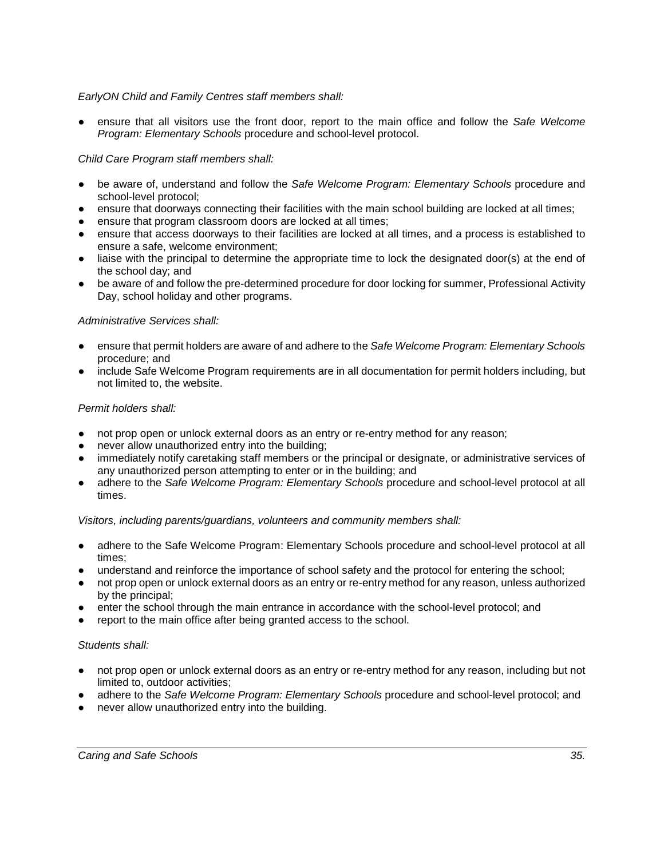## *EarlyON Child and Family Centres staff members shall:*

● ensure that all visitors use the front door, report to the main office and follow the *Safe Welcome Program: Elementary Schools* procedure and school-level protocol.

## *Child Care Program staff members shall:*

- be aware of, understand and follow the *Safe Welcome Program: Elementary Schools* procedure and school-level protocol;
- ensure that doorways connecting their facilities with the main school building are locked at all times;
- ensure that program classroom doors are locked at all times;
- ensure that access doorways to their facilities are locked at all times, and a process is established to ensure a safe, welcome environment;
- liaise with the principal to determine the appropriate time to lock the designated door(s) at the end of the school day; and
- be aware of and follow the pre-determined procedure for door locking for summer, Professional Activity Day, school holiday and other programs.

#### *Administrative Services shall:*

- ensure that permit holders are aware of and adhere to the *Safe Welcome Program: Elementary Schools* procedure; and
- include Safe Welcome Program requirements are in all documentation for permit holders including, but not limited to, the website.

#### *Permit holders shall:*

- not prop open or unlock external doors as an entry or re-entry method for any reason;
- never allow unauthorized entry into the building;
- immediately notify caretaking staff members or the principal or designate, or administrative services of any unauthorized person attempting to enter or in the building; and
- adhere to the *Safe Welcome Program: Elementary Schools* procedure and school-level protocol at all times.

*Visitors, including parents/guardians, volunteers and community members shall:*

- adhere to the Safe Welcome Program: Elementary Schools procedure and school-level protocol at all times;
- understand and reinforce the importance of school safety and the protocol for entering the school;
- not prop open or unlock external doors as an entry or re-entry method for any reason, unless authorized by the principal;
- enter the school through the main entrance in accordance with the school-level protocol; and
- report to the main office after being granted access to the school.

#### *Students shall:*

- not prop open or unlock external doors as an entry or re-entry method for any reason, including but not limited to, outdoor activities;
- adhere to the Safe Welcome Program: Elementary Schools procedure and school-level protocol; and
- **Parable 2** never allow unauthorized entry into the building.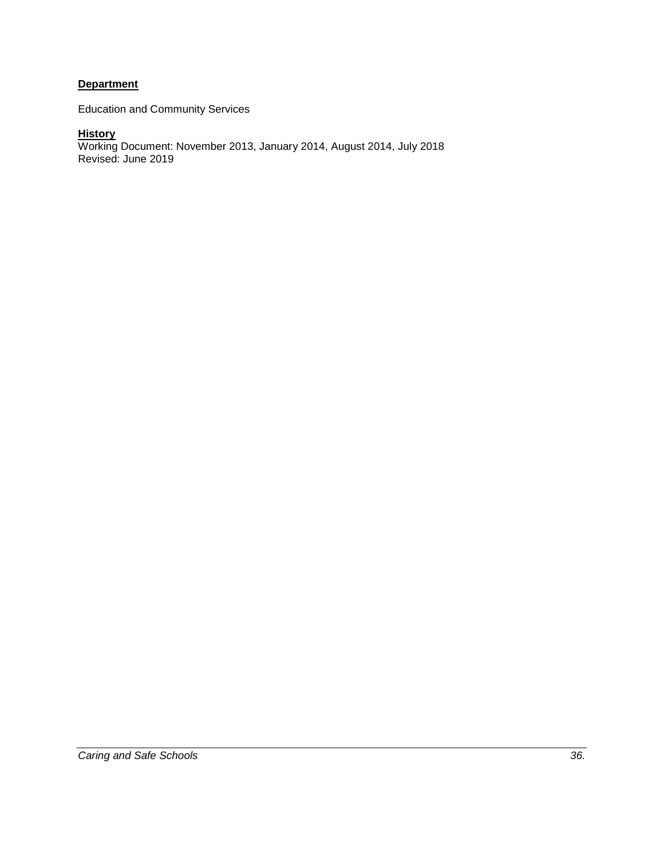# **Department**

Education and Community Services

#### **History**

Working Document: November 2013, January 2014, August 2014, July 2018 Revised: June 2019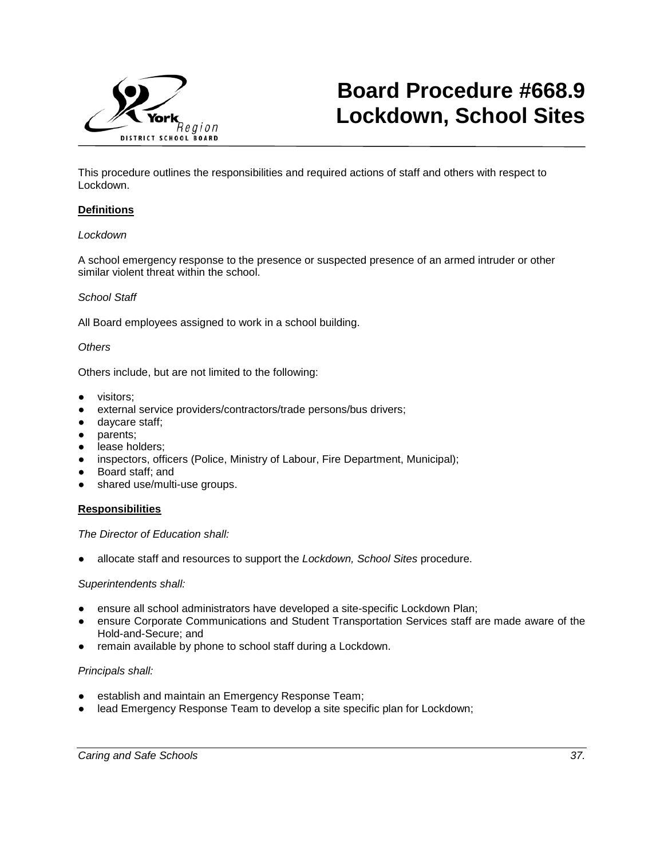

# **Board Procedure #668.9 Lockdown, School Sites**

This procedure outlines the responsibilities and required actions of staff and others with respect to Lockdown.

#### **Definitions**

#### *Lockdown*

A school emergency response to the presence or suspected presence of an armed intruder or other similar violent threat within the school.

#### *School Staff*

All Board employees assigned to work in a school building.

#### *Others*

Others include, but are not limited to the following:

- visitors;
- external service providers/contractors/trade persons/bus drivers;
- daycare staff;
- parents;
- lease holders;
- inspectors, officers (Police, Ministry of Labour, Fire Department, Municipal);
- Board staff; and
- shared use/multi-use groups.

#### **Responsibilities**

#### *The Director of Education shall:*

allocate staff and resources to support the *Lockdown, School Sites* procedure.

#### *Superintendents shall:*

- ensure all school administrators have developed a site-specific Lockdown Plan;
- ensure Corporate Communications and Student Transportation Services staff are made aware of the Hold-and-Secure; and
- remain available by phone to school staff during a Lockdown.

#### *Principals shall:*

- establish and maintain an Emergency Response Team;
- lead Emergency Response Team to develop a site specific plan for Lockdown;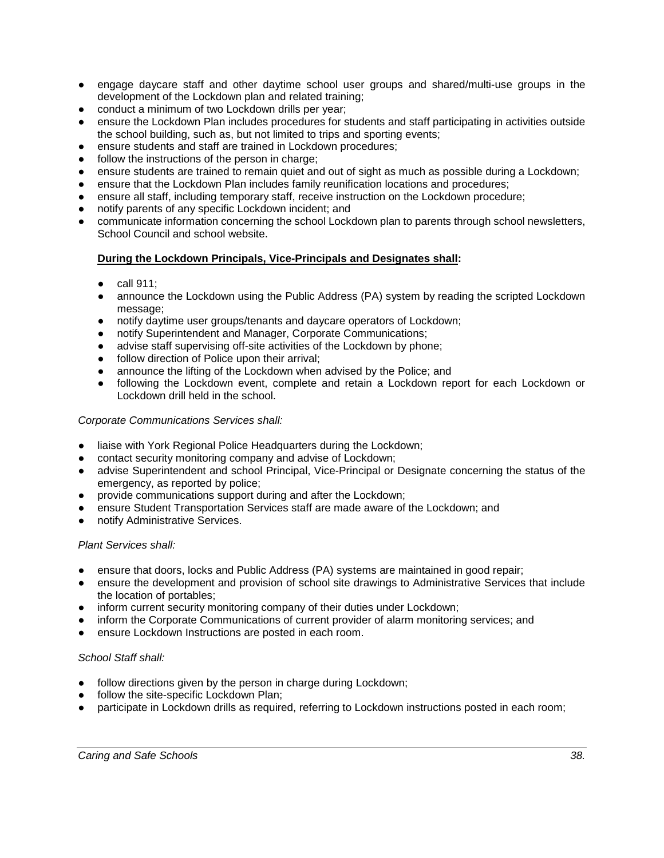- engage daycare staff and other daytime school user groups and shared/multi-use groups in the development of the Lockdown plan and related training;
- conduct a minimum of two Lockdown drills per year;
- ensure the Lockdown Plan includes procedures for students and staff participating in activities outside the school building, such as, but not limited to trips and sporting events;
- ensure students and staff are trained in Lockdown procedures;
- follow the instructions of the person in charge;
- ensure students are trained to remain quiet and out of sight as much as possible during a Lockdown;
- ensure that the Lockdown Plan includes family reunification locations and procedures;
- ensure all staff, including temporary staff, receive instruction on the Lockdown procedure;
- notify parents of any specific Lockdown incident; and
- communicate information concerning the school Lockdown plan to parents through school newsletters, School Council and school website.

# **During the Lockdown Principals, Vice-Principals and Designates shall:**

- $\bullet$  call 911:
- announce the Lockdown using the Public Address (PA) system by reading the scripted Lockdown message:
- notify daytime user groups/tenants and daycare operators of Lockdown;
- notify Superintendent and Manager, Corporate Communications;
- advise staff supervising off-site activities of the Lockdown by phone;
- follow direction of Police upon their arrival;
- announce the lifting of the Lockdown when advised by the Police; and
- following the Lockdown event, complete and retain a Lockdown report for each Lockdown or Lockdown drill held in the school.

## *Corporate Communications Services shall:*

- liaise with York Regional Police Headquarters during the Lockdown;
- contact security monitoring company and advise of Lockdown;
- advise Superintendent and school Principal, Vice-Principal or Designate concerning the status of the emergency, as reported by police;
- provide communications support during and after the Lockdown;
- ensure Student Transportation Services staff are made aware of the Lockdown; and
- notify Administrative Services.

## *Plant Services shall:*

- ensure that doors, locks and Public Address (PA) systems are maintained in good repair;
- ensure the development and provision of school site drawings to Administrative Services that include the location of portables;
- inform current security monitoring company of their duties under Lockdown;
- inform the Corporate Communications of current provider of alarm monitoring services; and
- ensure Lockdown Instructions are posted in each room.

## *School Staff shall:*

- follow directions given by the person in charge during Lockdown;
- follow the site-specific Lockdown Plan;
- participate in Lockdown drills as required, referring to Lockdown instructions posted in each room;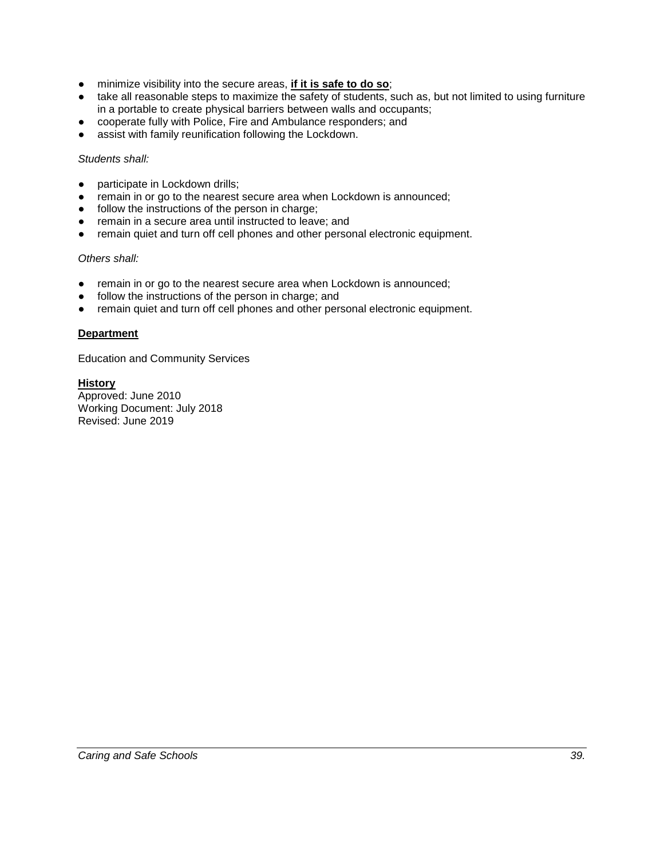- minimize visibility into the secure areas, **if it is safe to do so**;
- take all reasonable steps to maximize the safety of students, such as, but not limited to using furniture in a portable to create physical barriers between walls and occupants;
- cooperate fully with Police, Fire and Ambulance responders; and
- assist with family reunification following the Lockdown.

## *Students shall:*

- participate in Lockdown drills;
- remain in or go to the nearest secure area when Lockdown is announced;
- follow the instructions of the person in charge;
- remain in a secure area until instructed to leave; and
- remain quiet and turn off cell phones and other personal electronic equipment.

# *Others shall:*

- remain in or go to the nearest secure area when Lockdown is announced;
- follow the instructions of the person in charge; and
- remain quiet and turn off cell phones and other personal electronic equipment.

# **Department**

Education and Community Services

#### **History** Approved: June 2010

Working Document: July 2018 Revised: June 2019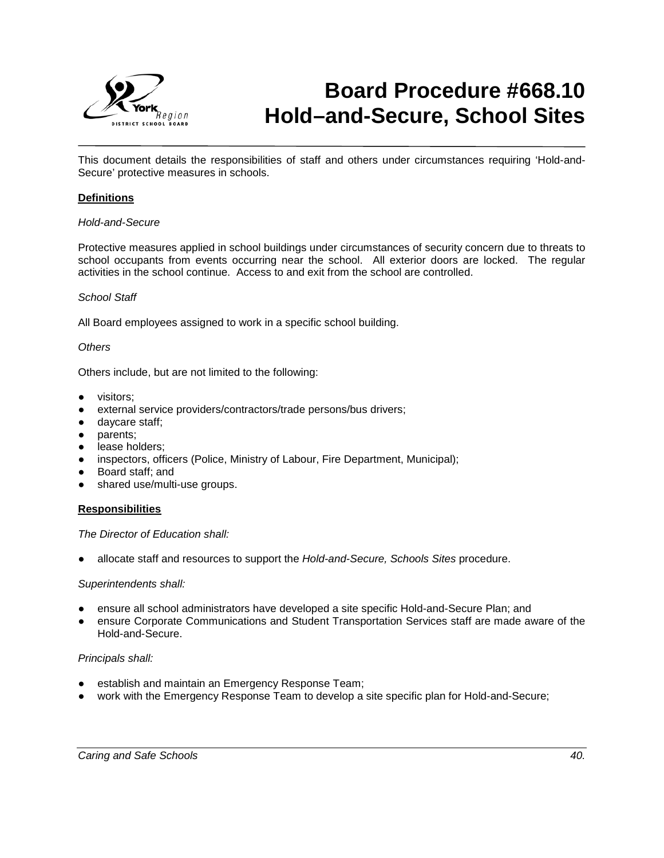

# **Board Procedure #668.10 Hold–and-Secure, School Sites**

This document details the responsibilities of staff and others under circumstances requiring 'Hold-and-Secure' protective measures in schools.

#### **Definitions**

#### *Hold-and-Secure*

Protective measures applied in school buildings under circumstances of security concern due to threats to school occupants from events occurring near the school. All exterior doors are locked. The regular activities in the school continue. Access to and exit from the school are controlled.

#### *School Staff*

All Board employees assigned to work in a specific school building.

#### *Others*

Others include, but are not limited to the following:

- visitors;
- external service providers/contractors/trade persons/bus drivers;
- daycare staff;
- parents;
- lease holders;
- inspectors, officers (Police, Ministry of Labour, Fire Department, Municipal);
- Board staff; and
- shared use/multi-use groups.

#### **Responsibilities**

#### *The Director of Education shall:*

● allocate staff and resources to support the *Hold-and-Secure, Schools Sites* procedure.

#### *Superintendents shall:*

- ensure all school administrators have developed a site specific Hold-and-Secure Plan; and
- ensure Corporate Communications and Student Transportation Services staff are made aware of the Hold-and-Secure.

#### *Principals shall:*

- establish and maintain an Emergency Response Team;
- work with the Emergency Response Team to develop a site specific plan for Hold-and-Secure;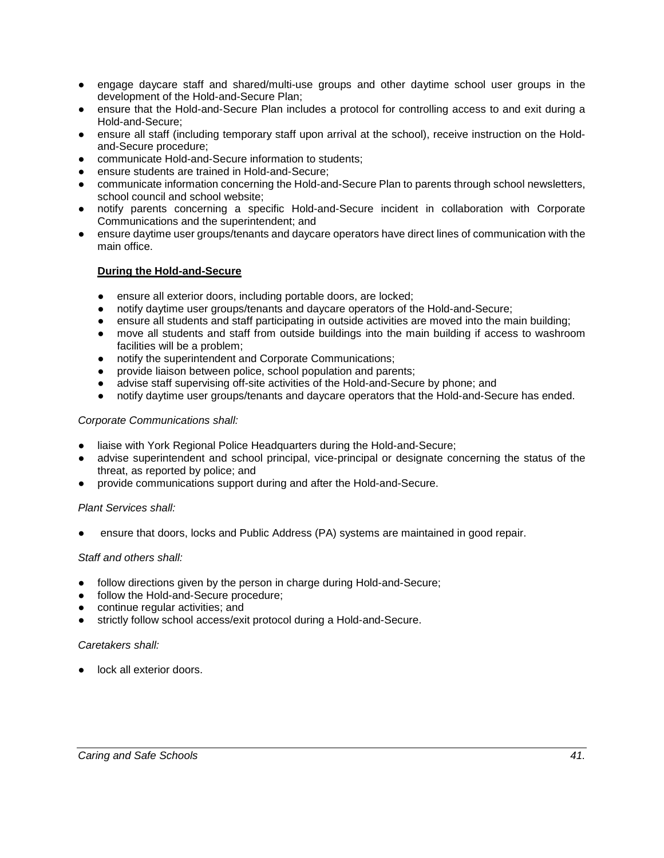- engage daycare staff and shared/multi-use groups and other daytime school user groups in the development of the Hold-and-Secure Plan;
- ensure that the Hold-and-Secure Plan includes a protocol for controlling access to and exit during a Hold-and-Secure;
- ensure all staff (including temporary staff upon arrival at the school), receive instruction on the Holdand-Secure procedure;
- communicate Hold-and-Secure information to students;
- ensure students are trained in Hold-and-Secure;
- communicate information concerning the Hold-and-Secure Plan to parents through school newsletters, school council and school website;
- notify parents concerning a specific Hold-and-Secure incident in collaboration with Corporate Communications and the superintendent; and
- ensure daytime user groups/tenants and daycare operators have direct lines of communication with the main office.

# **During the Hold-and-Secure**

- ensure all exterior doors, including portable doors, are locked;
- notify daytime user groups/tenants and daycare operators of the Hold-and-Secure;
- ensure all students and staff participating in outside activities are moved into the main building;
- move all students and staff from outside buildings into the main building if access to washroom facilities will be a problem;
- notify the superintendent and Corporate Communications;
- provide liaison between police, school population and parents;
- advise staff supervising off-site activities of the Hold-and-Secure by phone; and
- notify daytime user groups/tenants and daycare operators that the Hold-and-Secure has ended.

#### *Corporate Communications shall:*

- liaise with York Regional Police Headquarters during the Hold-and-Secure;
- advise superintendent and school principal, vice-principal or designate concerning the status of the threat, as reported by police; and
- provide communications support during and after the Hold-and-Secure.

## *Plant Services shall:*

ensure that doors, locks and Public Address (PA) systems are maintained in good repair.

## *Staff and others shall:*

- follow directions given by the person in charge during Hold-and-Secure;
- follow the Hold-and-Secure procedure;
- continue regular activities; and
- strictly follow school access/exit protocol during a Hold-and-Secure.

#### *Caretakers shall:*

● lock all exterior doors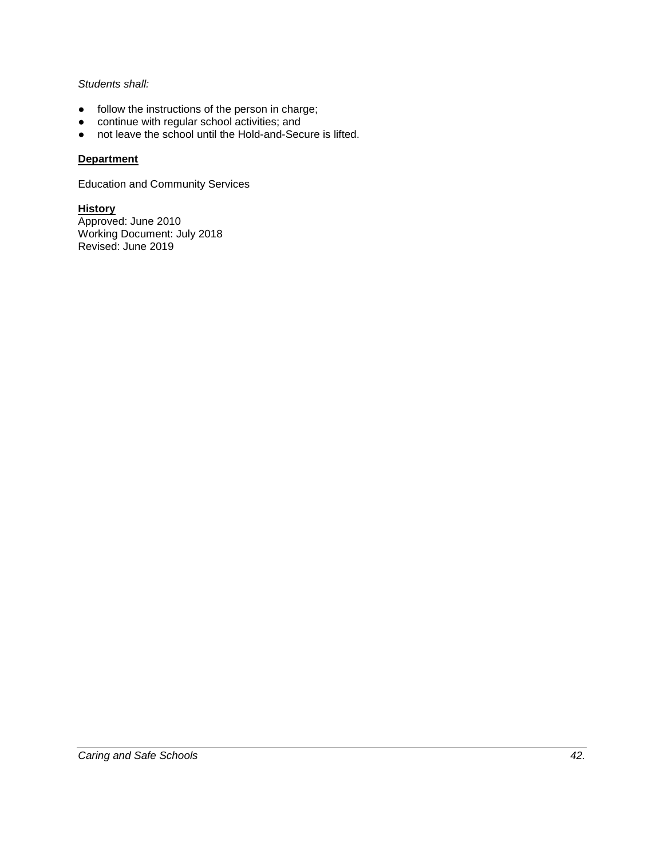# *Students shall:*

- follow the instructions of the person in charge;<br>● continue with regular school activities; and
- continue with regular school activities; and
- not leave the school until the Hold-and-Secure is lifted.

# **Department**

Education and Community Services

**History** Approved: June 2010 Working Document: July 2018 Revised: June 2019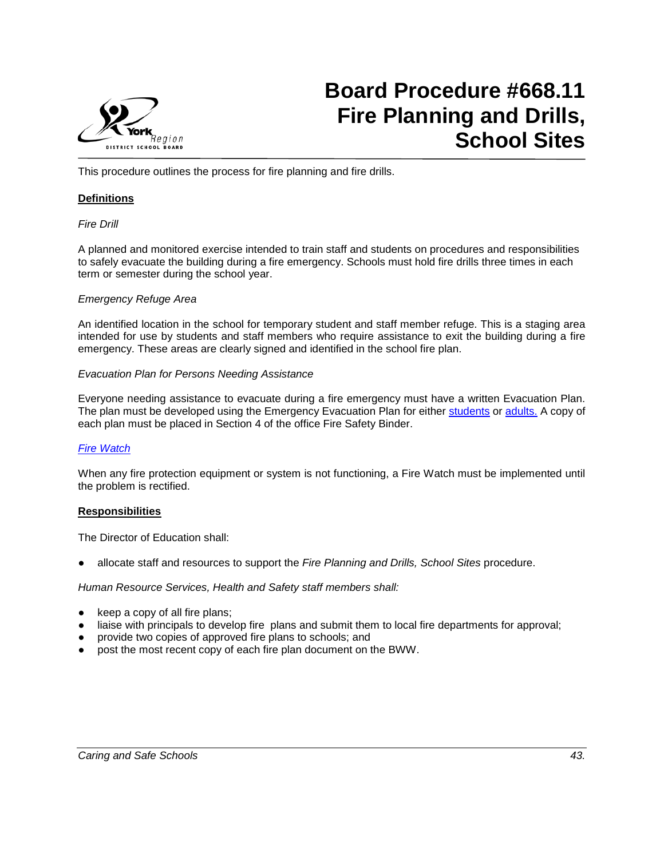

# **Board Procedure #668.11 Fire Planning and Drills, School Sites**

This procedure outlines the process for fire planning and fire drills.

#### **Definitions**

#### *Fire Drill*

A planned and monitored exercise intended to train staff and students on procedures and responsibilities to safely evacuate the building during a fire emergency. Schools must hold fire drills three times in each term or semester during the school year.

#### *Emergency Refuge Area*

An identified location in the school for temporary student and staff member refuge. This is a staging area intended for use by students and staff members who require assistance to exit the building during a fire emergency. These areas are clearly signed and identified in the school fire plan.

#### *Evacuation Plan for Persons Needing Assistance*

Everyone needing assistance to evacuate during a fire emergency must have a written Evacuation Plan. The plan must be developed using the Emergency Evacuation Plan for either [students](https://bww.yrdsb.ca/boarddocs/Documents/FOR-EmergencyEvacuationPlan-Students.pdf) or [adults.](https://bww.yrdsb.ca/boarddocs/Documents/SD-WorkplaceEmergencyResponsePlan.pdf) A copy of each plan must be placed in Section 4 of the office Fire Safety Binder.

## *[Fire Watch](https://bww.yrdsb.ca/services/plant/Documents/Supporting%20Documents/SD-FireWatchCourseofActions.pdf)*

When any fire protection equipment or system is not functioning, a Fire Watch must be implemented until the problem is rectified.

#### **Responsibilities**

The Director of Education shall:

● allocate staff and resources to support the *Fire Planning and Drills, School Sites* procedure.

#### *Human Resource Services, Health and Safety staff members shall:*

- keep a copy of all fire plans;
- liaise with principals to develop fire plans and submit them to local fire departments for approval;
- provide two copies of approved fire plans to schools; and
- post the most recent copy of each fire plan document on the BWW.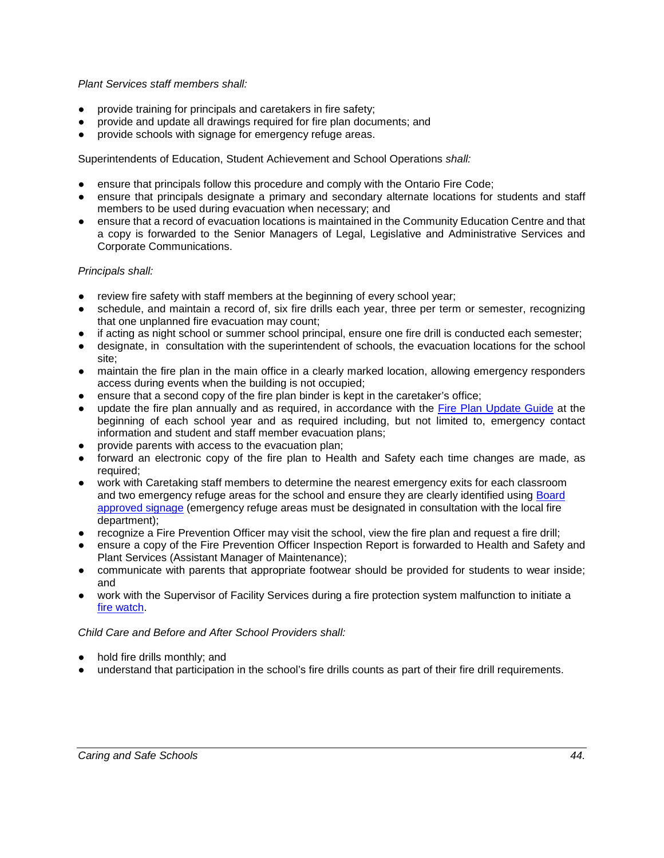#### *Plant Services staff members shall:*

- provide training for principals and caretakers in fire safety;
- provide and update all drawings required for fire plan documents; and
- provide schools with signage for emergency refuge areas.

Superintendents of Education, Student Achievement and School Operations *shall:*

- ensure that principals follow this procedure and comply with the Ontario Fire Code;
- ensure that principals designate a primary and secondary alternate locations for students and staff members to be used during evacuation when necessary; and
- ensure that a record of evacuation locations is maintained in the Community Education Centre and that a copy is forwarded to the Senior Managers of Legal, Legislative and Administrative Services and Corporate Communications.

#### *Principals shall:*

- review fire safety with staff members at the beginning of every school year;
- schedule, and maintain a record of, six fire drills each year, three per term or semester, recognizing that one unplanned fire evacuation may count;
- if acting as night school or summer school principal, ensure one fire drill is conducted each semester;
- designate, in consultation with the superintendent of schools, the evacuation locations for the school site;
- maintain the fire plan in the main office in a clearly marked location, allowing emergency responders access during events when the building is not occupied;
- ensure that a second copy of the fire plan binder is kept in the caretaker's office;
- update the fire plan annually and as required, in accordance with the [Fire Plan Update Guide](https://bww.yrdsb.ca/services/healthsafety/Documents/Fire%20Plans/FirePlanUpdateGuideline.pdf) at the beginning of each school year and as required including, but not limited to, emergency contact information and student and staff member evacuation plans;
- provide parents with access to the evacuation plan;
- forward an electronic copy of the fire plan to Health and Safety each time changes are made, as required;
- work with Caretaking staff members to determine the nearest emergency exits for each classroom and two emergency refuge areas for the school and ensure they are clearly identified using Board [approved signage](https://bww.yrdsb.ca/services/plant/Pages/Signs.aspx) (emergency refuge areas must be designated in consultation with the local fire department);
- recognize a Fire Prevention Officer may visit the school, view the fire plan and request a fire drill;
- ensure a copy of the Fire Prevention Officer Inspection Report is forwarded to Health and Safety and Plant Services (Assistant Manager of Maintenance);
- communicate with parents that appropriate footwear should be provided for students to wear inside; and
- work with the Supervisor of Facility Services during a fire protection system malfunction to initiate a [fire watch.](https://bww.yrdsb.ca/services/plant/Documents/Supporting%20Documents/SD-FireWatchCourseofActions.pdf)

*Child Care and Before and After School Providers shall:*

- hold fire drills monthly; and
- understand that participation in the school's fire drills counts as part of their fire drill requirements.